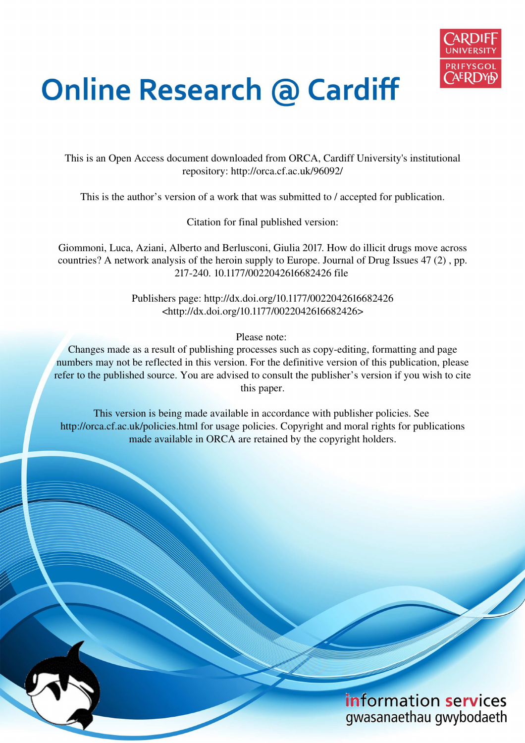

# **Online Research @ Cardiff**

This is an Open Access document downloaded from ORCA, Cardiff University's institutional repository: http://orca.cf.ac.uk/96092/

This is the author's version of a work that was submitted to / accepted for publication.

Citation for final published version:

Giommoni, Luca, Aziani, Alberto and Berlusconi, Giulia 2017. How do illicit drugs move across countries? A network analysis of the heroin supply to Europe. Journal of Drug Issues 47 (2) , pp. 217-240. 10.1177/0022042616682426 file

> Publishers page: http://dx.doi.org/10.1177/0022042616682426 <http://dx.doi.org/10.1177/0022042616682426>

> > Please note:

Changes made as a result of publishing processes such as copy-editing, formatting and page numbers may not be reflected in this version. For the definitive version of this publication, please refer to the published source. You are advised to consult the publisher's version if you wish to cite this paper.

This version is being made available in accordance with publisher policies. See http://orca.cf.ac.uk/policies.html for usage policies. Copyright and moral rights for publications made available in ORCA are retained by the copyright holders.

# information services gwasanaethau gwybodaeth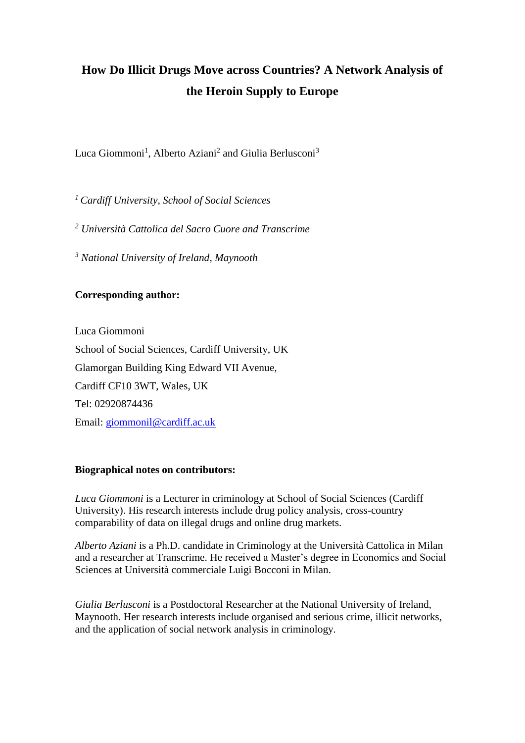# **How Do Illicit Drugs Move across Countries? A Network Analysis of the Heroin Supply to Europe**

Luca Giommoni<sup>1</sup>, Alberto Aziani<sup>2</sup> and Giulia Berlusconi<sup>3</sup>

*<sup>1</sup>Cardiff University, School of Social Sciences* 

*2 Università Cattolica del Sacro Cuore and Transcrime* 

*3 National University of Ireland, Maynooth* 

# **Corresponding author:**

Luca Giommoni School of Social Sciences, Cardiff University, UK Glamorgan Building King Edward VII Avenue, Cardiff CF10 3WT, Wales, UK Tel: 02920874436 Email: [giommonil@cardiff.ac.uk](mailto:giommonil@cardiff.ac.uk)

# **Biographical notes on contributors:**

*Luca Giommoni* is a Lecturer in criminology at School of Social Sciences (Cardiff University). His research interests include drug policy analysis, cross-country comparability of data on illegal drugs and online drug markets.

*Alberto Aziani* is a Ph.D. candidate in Criminology at the Università Cattolica in Milan and a researcher at Transcrime. He received a Master's degree in Economics and Social Sciences at Università commerciale Luigi Bocconi in Milan.

*Giulia Berlusconi* is a Postdoctoral Researcher at the National University of Ireland, Maynooth. Her research interests include organised and serious crime, illicit networks, and the application of social network analysis in criminology.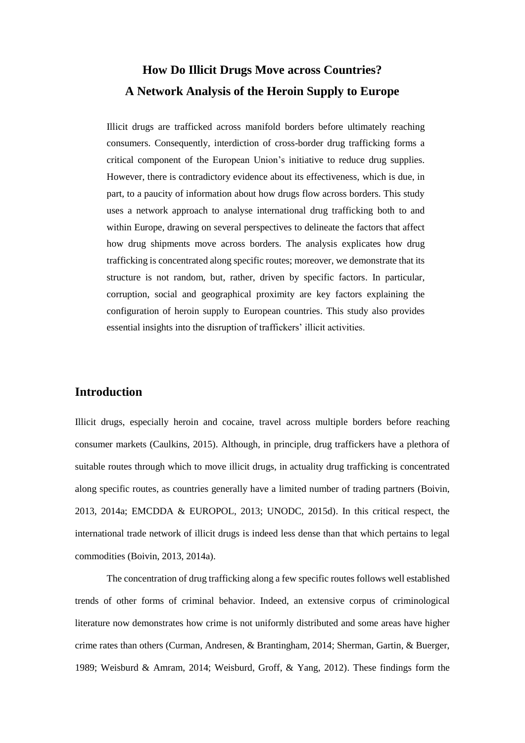# **How Do Illicit Drugs Move across Countries? A Network Analysis of the Heroin Supply to Europe**

Illicit drugs are trafficked across manifold borders before ultimately reaching consumers. Consequently, interdiction of cross-border drug trafficking forms a critical component of the European Union's initiative to reduce drug supplies. However, there is contradictory evidence about its effectiveness, which is due, in part, to a paucity of information about how drugs flow across borders. This study uses a network approach to analyse international drug trafficking both to and within Europe, drawing on several perspectives to delineate the factors that affect how drug shipments move across borders. The analysis explicates how drug trafficking is concentrated along specific routes; moreover, we demonstrate that its structure is not random, but, rather, driven by specific factors. In particular, corruption, social and geographical proximity are key factors explaining the configuration of heroin supply to European countries. This study also provides essential insights into the disruption of traffickers' illicit activities.

# **Introduction**

Illicit drugs, especially heroin and cocaine, travel across multiple borders before reaching consumer markets (Caulkins, 2015). Although, in principle, drug traffickers have a plethora of suitable routes through which to move illicit drugs, in actuality drug trafficking is concentrated along specific routes, as countries generally have a limited number of trading partners (Boivin, 2013, 2014a; EMCDDA & EUROPOL, 2013; UNODC, 2015d). In this critical respect, the international trade network of illicit drugs is indeed less dense than that which pertains to legal commodities (Boivin, 2013, 2014a).

The concentration of drug trafficking along a few specific routes follows well established trends of other forms of criminal behavior. Indeed, an extensive corpus of criminological literature now demonstrates how crime is not uniformly distributed and some areas have higher crime rates than others (Curman, Andresen, & Brantingham, 2014; Sherman, Gartin, & Buerger, 1989; Weisburd & Amram, 2014; Weisburd, Groff, & Yang, 2012). These findings form the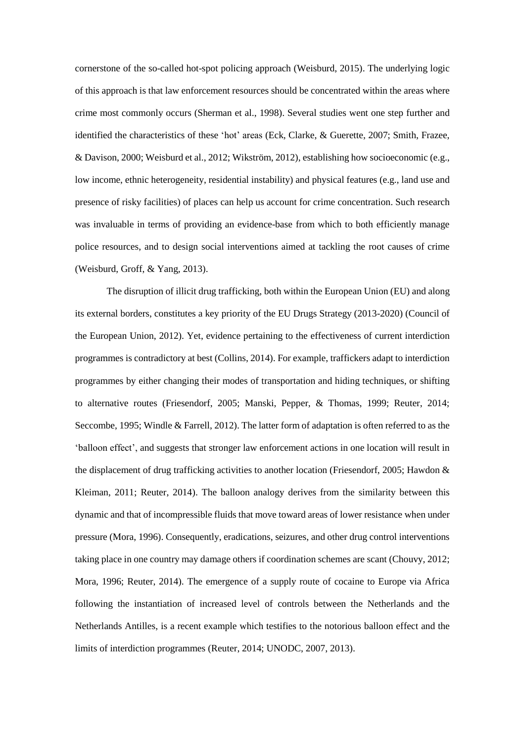cornerstone of the so-called hot-spot policing approach (Weisburd, 2015). The underlying logic of this approach is that law enforcement resources should be concentrated within the areas where crime most commonly occurs (Sherman et al., 1998). Several studies went one step further and identified the characteristics of these 'hot' areas (Eck, Clarke, & Guerette, 2007; Smith, Frazee, & Davison, 2000; Weisburd et al., 2012; Wikström, 2012), establishing how socioeconomic (e.g., low income, ethnic heterogeneity, residential instability) and physical features (e.g., land use and presence of risky facilities) of places can help us account for crime concentration. Such research was invaluable in terms of providing an evidence-base from which to both efficiently manage police resources, and to design social interventions aimed at tackling the root causes of crime (Weisburd, Groff, & Yang, 2013).

The disruption of illicit drug trafficking, both within the European Union (EU) and along its external borders, constitutes a key priority of the EU Drugs Strategy (2013-2020) (Council of the European Union, 2012). Yet, evidence pertaining to the effectiveness of current interdiction programmes is contradictory at best (Collins, 2014). For example, traffickers adapt to interdiction programmes by either changing their modes of transportation and hiding techniques, or shifting to alternative routes (Friesendorf, 2005; Manski, Pepper, & Thomas, 1999; Reuter, 2014; Seccombe, 1995; Windle & Farrell, 2012). The latter form of adaptation is often referred to as the 'balloon effect', and suggests that stronger law enforcement actions in one location will result in the displacement of drug trafficking activities to another location (Friesendorf, 2005; Hawdon & Kleiman, 2011; Reuter, 2014). The balloon analogy derives from the similarity between this dynamic and that of incompressible fluids that move toward areas of lower resistance when under pressure (Mora, 1996). Consequently, eradications, seizures, and other drug control interventions taking place in one country may damage others if coordination schemes are scant (Chouvy, 2012; Mora, 1996; Reuter, 2014). The emergence of a supply route of cocaine to Europe via Africa following the instantiation of increased level of controls between the Netherlands and the Netherlands Antilles, is a recent example which testifies to the notorious balloon effect and the limits of interdiction programmes (Reuter, 2014; UNODC, 2007, 2013).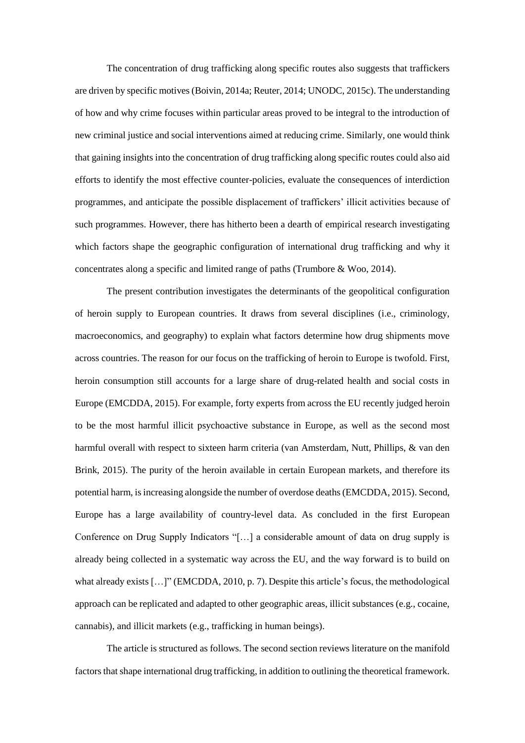The concentration of drug trafficking along specific routes also suggests that traffickers are driven by specific motives (Boivin, 2014a; Reuter, 2014; UNODC, 2015c). The understanding of how and why crime focuses within particular areas proved to be integral to the introduction of new criminal justice and social interventions aimed at reducing crime. Similarly, one would think that gaining insights into the concentration of drug trafficking along specific routes could also aid efforts to identify the most effective counter-policies, evaluate the consequences of interdiction programmes, and anticipate the possible displacement of traffickers' illicit activities because of such programmes. However, there has hitherto been a dearth of empirical research investigating which factors shape the geographic configuration of international drug trafficking and why it concentrates along a specific and limited range of paths (Trumbore & Woo, 2014).

The present contribution investigates the determinants of the geopolitical configuration of heroin supply to European countries. It draws from several disciplines (i.e., criminology, macroeconomics, and geography) to explain what factors determine how drug shipments move across countries. The reason for our focus on the trafficking of heroin to Europe is twofold. First, heroin consumption still accounts for a large share of drug-related health and social costs in Europe (EMCDDA, 2015). For example, forty experts from across the EU recently judged heroin to be the most harmful illicit psychoactive substance in Europe, as well as the second most harmful overall with respect to sixteen harm criteria (van Amsterdam, Nutt, Phillips, & van den Brink, 2015). The purity of the heroin available in certain European markets, and therefore its potential harm, is increasing alongside the number of overdose deaths (EMCDDA, 2015). Second, Europe has a large availability of country-level data. As concluded in the first European Conference on Drug Supply Indicators "[…] a considerable amount of data on drug supply is already being collected in a systematic way across the EU, and the way forward is to build on what already exists […]" (EMCDDA, 2010, p. 7). Despite this article's focus, the methodological approach can be replicated and adapted to other geographic areas, illicit substances (e.g., cocaine, cannabis), and illicit markets (e.g., trafficking in human beings).

The article is structured as follows. The second section reviews literature on the manifold factors that shape international drug trafficking, in addition to outlining the theoretical framework.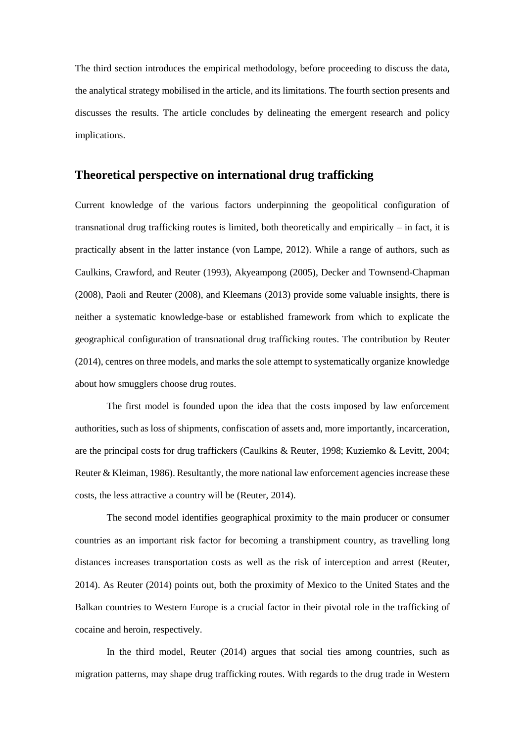The third section introduces the empirical methodology, before proceeding to discuss the data, the analytical strategy mobilised in the article, and its limitations. The fourth section presents and discusses the results. The article concludes by delineating the emergent research and policy implications.

# **Theoretical perspective on international drug trafficking**

Current knowledge of the various factors underpinning the geopolitical configuration of transnational drug trafficking routes is limited, both theoretically and empirically – in fact, it is practically absent in the latter instance (von Lampe, 2012). While a range of authors, such as Caulkins, Crawford, and Reuter (1993), Akyeampong (2005), Decker and Townsend-Chapman (2008), Paoli and Reuter (2008), and Kleemans (2013) provide some valuable insights, there is neither a systematic knowledge-base or established framework from which to explicate the geographical configuration of transnational drug trafficking routes. The contribution by Reuter (2014), centres on three models, and marks the sole attempt to systematically organize knowledge about how smugglers choose drug routes.

The first model is founded upon the idea that the costs imposed by law enforcement authorities, such as loss of shipments, confiscation of assets and, more importantly, incarceration, are the principal costs for drug traffickers (Caulkins & Reuter, 1998; Kuziemko & Levitt, 2004; Reuter & Kleiman, 1986). Resultantly, the more national law enforcement agencies increase these costs, the less attractive a country will be (Reuter, 2014).

The second model identifies geographical proximity to the main producer or consumer countries as an important risk factor for becoming a transhipment country, as travelling long distances increases transportation costs as well as the risk of interception and arrest (Reuter, 2014). As Reuter (2014) points out, both the proximity of Mexico to the United States and the Balkan countries to Western Europe is a crucial factor in their pivotal role in the trafficking of cocaine and heroin, respectively.

In the third model, Reuter (2014) argues that social ties among countries, such as migration patterns, may shape drug trafficking routes. With regards to the drug trade in Western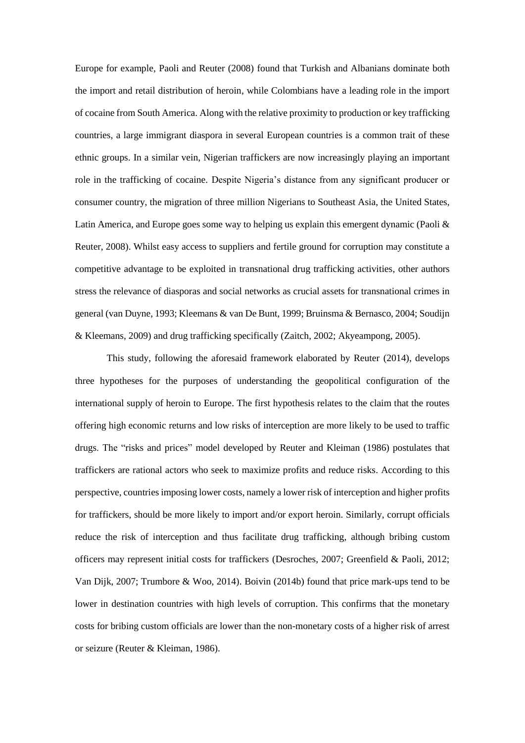Europe for example, Paoli and Reuter (2008) found that Turkish and Albanians dominate both the import and retail distribution of heroin, while Colombians have a leading role in the import of cocaine from South America. Along with the relative proximity to production or key trafficking countries, a large immigrant diaspora in several European countries is a common trait of these ethnic groups. In a similar vein, Nigerian traffickers are now increasingly playing an important role in the trafficking of cocaine. Despite Nigeria's distance from any significant producer or consumer country, the migration of three million Nigerians to Southeast Asia, the United States, Latin America, and Europe goes some way to helping us explain this emergent dynamic (Paoli & Reuter, 2008). Whilst easy access to suppliers and fertile ground for corruption may constitute a competitive advantage to be exploited in transnational drug trafficking activities, other authors stress the relevance of diasporas and social networks as crucial assets for transnational crimes in general (van Duyne, 1993; Kleemans & van De Bunt, 1999; Bruinsma & Bernasco, 2004; Soudijn & Kleemans, 2009) and drug trafficking specifically (Zaitch, 2002; Akyeampong, 2005).

This study, following the aforesaid framework elaborated by Reuter (2014), develops three hypotheses for the purposes of understanding the geopolitical configuration of the international supply of heroin to Europe. The first hypothesis relates to the claim that the routes offering high economic returns and low risks of interception are more likely to be used to traffic drugs. The "risks and prices" model developed by Reuter and Kleiman (1986) postulates that traffickers are rational actors who seek to maximize profits and reduce risks. According to this perspective, countries imposing lower costs, namely a lower risk of interception and higher profits for traffickers, should be more likely to import and/or export heroin. Similarly, corrupt officials reduce the risk of interception and thus facilitate drug trafficking, although bribing custom officers may represent initial costs for traffickers (Desroches, 2007; Greenfield & Paoli, 2012; Van Dijk, 2007; Trumbore & Woo, 2014). Boivin (2014b) found that price mark-ups tend to be lower in destination countries with high levels of corruption. This confirms that the monetary costs for bribing custom officials are lower than the non-monetary costs of a higher risk of arrest or seizure (Reuter & Kleiman, 1986).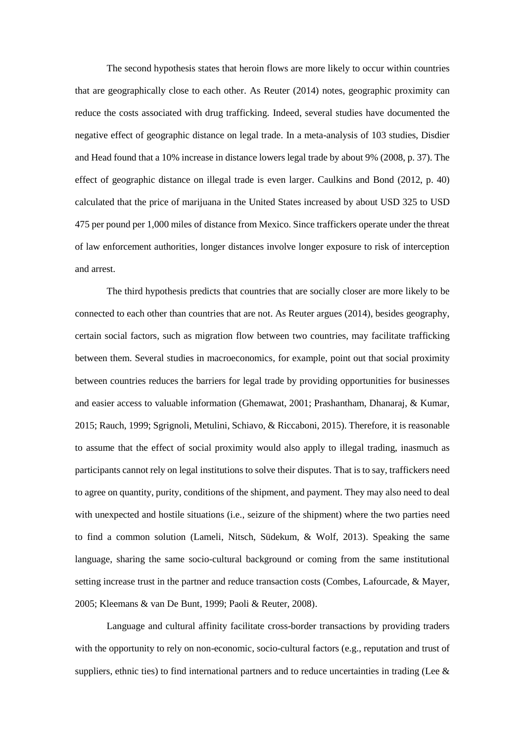The second hypothesis states that heroin flows are more likely to occur within countries that are geographically close to each other. As Reuter (2014) notes, geographic proximity can reduce the costs associated with drug trafficking. Indeed, several studies have documented the negative effect of geographic distance on legal trade. In a meta-analysis of 103 studies, Disdier and Head found that a 10% increase in distance lowers legal trade by about 9% (2008, p. 37). The effect of geographic distance on illegal trade is even larger. Caulkins and Bond (2012, p. 40) calculated that the price of marijuana in the United States increased by about USD 325 to USD 475 per pound per 1,000 miles of distance from Mexico. Since traffickers operate under the threat of law enforcement authorities, longer distances involve longer exposure to risk of interception and arrest.

The third hypothesis predicts that countries that are socially closer are more likely to be connected to each other than countries that are not. As Reuter argues (2014), besides geography, certain social factors, such as migration flow between two countries, may facilitate trafficking between them. Several studies in macroeconomics, for example, point out that social proximity between countries reduces the barriers for legal trade by providing opportunities for businesses and easier access to valuable information (Ghemawat, 2001; Prashantham, Dhanaraj, & Kumar, 2015; Rauch, 1999; Sgrignoli, Metulini, Schiavo, & Riccaboni, 2015). Therefore, it is reasonable to assume that the effect of social proximity would also apply to illegal trading, inasmuch as participants cannot rely on legal institutions to solve their disputes. That is to say, traffickers need to agree on quantity, purity, conditions of the shipment, and payment. They may also need to deal with unexpected and hostile situations (i.e., seizure of the shipment) where the two parties need to find a common solution (Lameli, Nitsch, Südekum, & Wolf, 2013). Speaking the same language, sharing the same socio-cultural background or coming from the same institutional setting increase trust in the partner and reduce transaction costs (Combes, Lafourcade, & Mayer, 2005; Kleemans & van De Bunt, 1999; Paoli & Reuter, 2008).

Language and cultural affinity facilitate cross-border transactions by providing traders with the opportunity to rely on non-economic, socio-cultural factors (e.g., reputation and trust of suppliers, ethnic ties) to find international partners and to reduce uncertainties in trading (Lee  $\&$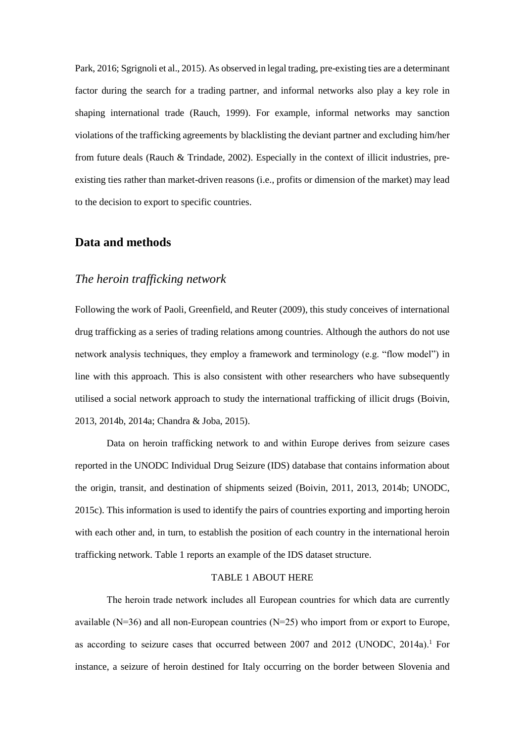Park, 2016; Sgrignoli et al., 2015). As observed in legal trading, pre-existing ties are a determinant factor during the search for a trading partner, and informal networks also play a key role in shaping international trade (Rauch, 1999). For example, informal networks may sanction violations of the trafficking agreements by blacklisting the deviant partner and excluding him/her from future deals (Rauch & Trindade, 2002). Especially in the context of illicit industries, preexisting ties rather than market-driven reasons (i.e., profits or dimension of the market) may lead to the decision to export to specific countries.

## **Data and methods**

# *The heroin trafficking network*

Following the work of Paoli, Greenfield, and Reuter (2009), this study conceives of international drug trafficking as a series of trading relations among countries. Although the authors do not use network analysis techniques, they employ a framework and terminology (e.g. "flow model") in line with this approach. This is also consistent with other researchers who have subsequently utilised a social network approach to study the international trafficking of illicit drugs (Boivin, 2013, 2014b, 2014a; Chandra & Joba, 2015).

Data on heroin trafficking network to and within Europe derives from seizure cases reported in the UNODC Individual Drug Seizure (IDS) database that contains information about the origin, transit, and destination of shipments seized (Boivin, 2011, 2013, 2014b; UNODC, 2015c). This information is used to identify the pairs of countries exporting and importing heroin with each other and, in turn, to establish the position of each country in the international heroin trafficking network. Table 1 reports an example of the IDS dataset structure.

#### TABLE 1 ABOUT HERE

The heroin trade network includes all European countries for which data are currently available (N=36) and all non-European countries (N=25) who import from or export to Europe, as according to seizure cases that occurred between 2007 and 2012 (UNODC, 2014a).<sup>1</sup> For instance, a seizure of heroin destined for Italy occurring on the border between Slovenia and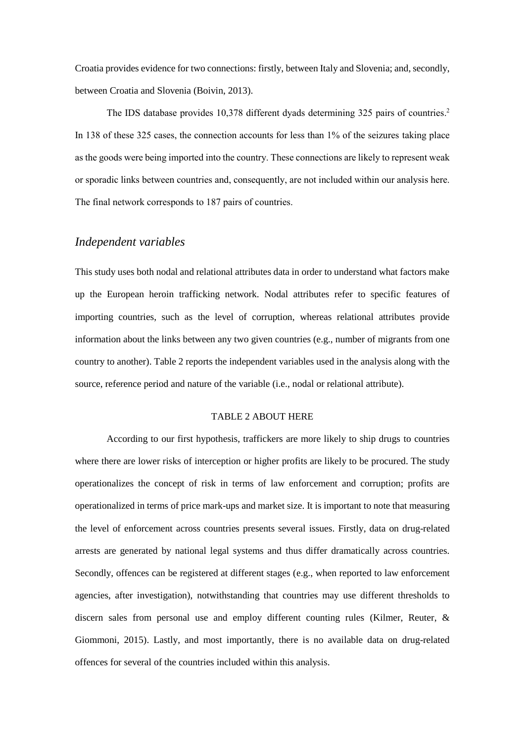Croatia provides evidence for two connections: firstly, between Italy and Slovenia; and, secondly, between Croatia and Slovenia (Boivin, 2013).

The IDS database provides 10,378 different dyads determining 325 pairs of countries. 2 In 138 of these 325 cases, the connection accounts for less than 1% of the seizures taking place as the goods were being imported into the country. These connections are likely to represent weak or sporadic links between countries and, consequently, are not included within our analysis here. The final network corresponds to 187 pairs of countries.

## *Independent variables*

This study uses both nodal and relational attributes data in order to understand what factors make up the European heroin trafficking network. Nodal attributes refer to specific features of importing countries, such as the level of corruption, whereas relational attributes provide information about the links between any two given countries (e.g., number of migrants from one country to another). Table 2 reports the independent variables used in the analysis along with the source, reference period and nature of the variable (i.e., nodal or relational attribute).

#### TABLE 2 ABOUT HERE

According to our first hypothesis, traffickers are more likely to ship drugs to countries where there are lower risks of interception or higher profits are likely to be procured. The study operationalizes the concept of risk in terms of law enforcement and corruption; profits are operationalized in terms of price mark-ups and market size. It is important to note that measuring the level of enforcement across countries presents several issues. Firstly, data on drug-related arrests are generated by national legal systems and thus differ dramatically across countries. Secondly, offences can be registered at different stages (e.g., when reported to law enforcement agencies, after investigation), notwithstanding that countries may use different thresholds to discern sales from personal use and employ different counting rules (Kilmer, Reuter, & Giommoni, 2015). Lastly, and most importantly, there is no available data on drug-related offences for several of the countries included within this analysis.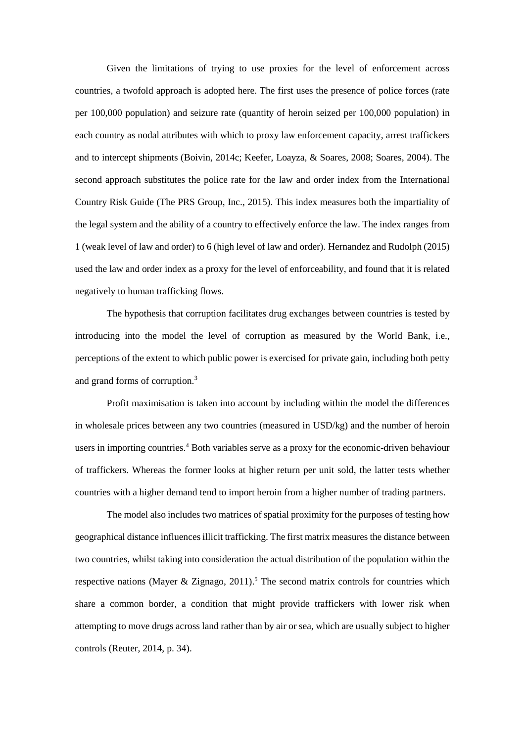Given the limitations of trying to use proxies for the level of enforcement across countries, a twofold approach is adopted here. The first uses the presence of police forces (rate per 100,000 population) and seizure rate (quantity of heroin seized per 100,000 population) in each country as nodal attributes with which to proxy law enforcement capacity, arrest traffickers and to intercept shipments (Boivin, 2014c; Keefer, Loayza, & Soares, 2008; Soares, 2004). The second approach substitutes the police rate for the law and order index from the International Country Risk Guide (The PRS Group, Inc., 2015). This index measures both the impartiality of the legal system and the ability of a country to effectively enforce the law. The index ranges from 1 (weak level of law and order) to 6 (high level of law and order). Hernandez and Rudolph (2015) used the law and order index as a proxy for the level of enforceability, and found that it is related negatively to human trafficking flows.

The hypothesis that corruption facilitates drug exchanges between countries is tested by introducing into the model the level of corruption as measured by the World Bank, i.e., perceptions of the extent to which public power is exercised for private gain, including both petty and grand forms of corruption.<sup>3</sup>

Profit maximisation is taken into account by including within the model the differences in wholesale prices between any two countries (measured in USD/kg) and the number of heroin users in importing countries.<sup>4</sup> Both variables serve as a proxy for the economic-driven behaviour of traffickers. Whereas the former looks at higher return per unit sold, the latter tests whether countries with a higher demand tend to import heroin from a higher number of trading partners.

The model also includes two matrices of spatial proximity for the purposes of testing how geographical distance influences illicit trafficking. The first matrix measures the distance between two countries, whilst taking into consideration the actual distribution of the population within the respective nations (Mayer & Zignago,  $2011$ ).<sup>5</sup> The second matrix controls for countries which share a common border, a condition that might provide traffickers with lower risk when attempting to move drugs across land rather than by air or sea, which are usually subject to higher controls (Reuter, 2014, p. 34).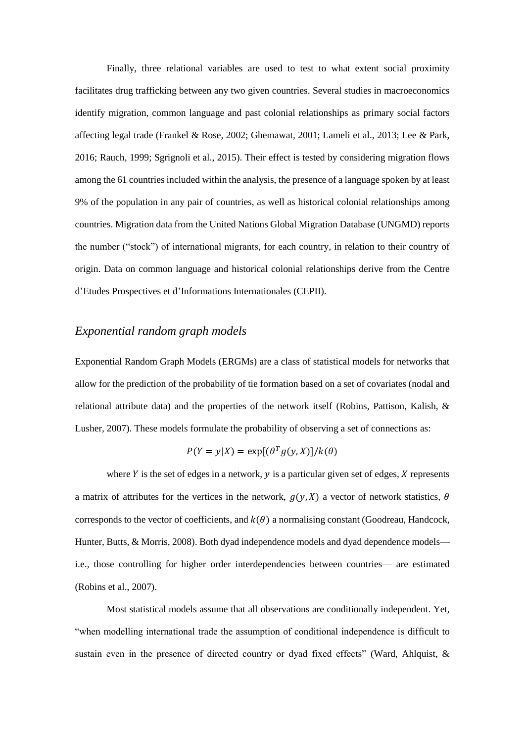Finally, three relational variables are used to test to what extent social proximity facilitates drug trafficking between any two given countries. Several studies in macroeconomics identify migration, common language and past colonial relationships as primary social factors affecting legal trade (Frankel & Rose, 2002; Ghemawat, 2001; Lameli et al., 2013; Lee & Park, 2016; Rauch, 1999; Sgrignoli et al., 2015). Their effect is tested by considering migration flows among the 61 countries included within the analysis, the presence of a language spoken by at least 9% of the population in any pair of countries, as well as historical colonial relationships among countries. Migration data from the United Nations Global Migration Database (UNGMD) reports the number ("stock") of international migrants, for each country, in relation to their country of origin. Data on common language and historical colonial relationships derive from the Centre d'Etudes Prospectives et d'Informations Internationales (CEPII).

## *Exponential random graph models*

Exponential Random Graph Models (ERGMs) are a class of statistical models for networks that allow for the prediction of the probability of tie formation based on a set of covariates (nodal and relational attribute data) and the properties of the network itself (Robins, Pattison, Kalish, & Lusher, 2007). These models formulate the probability of observing a set of connections as:

$$
P(Y = y|X) = \exp[(\theta^T g(y, X)]/k(\theta)
$$

where  $Y$  is the set of edges in a network,  $y$  is a particular given set of edges,  $X$  represents a matrix of attributes for the vertices in the network,  $g(y, X)$  a vector of network statistics,  $\theta$ corresponds to the vector of coefficients, and  $k(\theta)$  a normalising constant (Goodreau, Handcock, Hunter, Butts, & Morris, 2008). Both dyad independence models and dyad dependence models i.e., those controlling for higher order interdependencies between countries— are estimated (Robins et al., 2007).

Most statistical models assume that all observations are conditionally independent. Yet, "when modelling international trade the assumption of conditional independence is difficult to sustain even in the presence of directed country or dyad fixed effects" (Ward, Ahlquist, &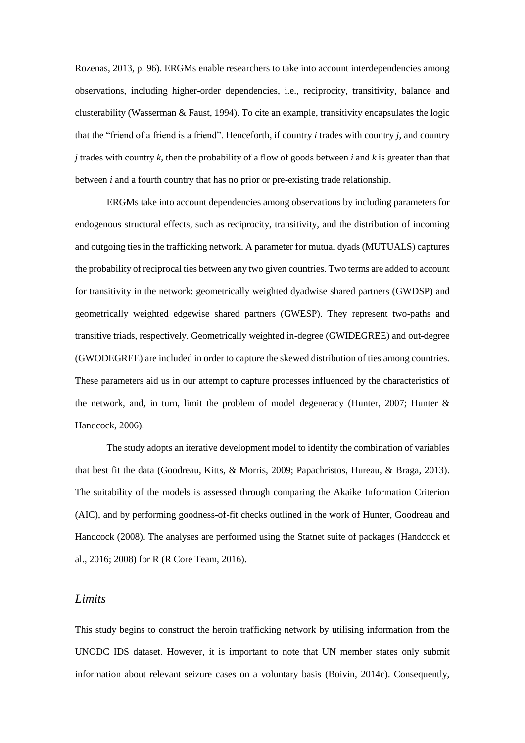Rozenas, 2013, p. 96). ERGMs enable researchers to take into account interdependencies among observations, including higher-order dependencies, i.e., reciprocity, transitivity, balance and clusterability (Wasserman & Faust, 1994). To cite an example, transitivity encapsulates the logic that the "friend of a friend is a friend". Henceforth, if country *i* trades with country *j*, and country *j* trades with country *k*, then the probability of a flow of goods between *i* and *k* is greater than that between *i* and a fourth country that has no prior or pre-existing trade relationship.

ERGMs take into account dependencies among observations by including parameters for endogenous structural effects, such as reciprocity, transitivity, and the distribution of incoming and outgoing ties in the trafficking network. A parameter for mutual dyads (MUTUALS) captures the probability of reciprocal ties between any two given countries. Two terms are added to account for transitivity in the network: geometrically weighted dyadwise shared partners (GWDSP) and geometrically weighted edgewise shared partners (GWESP). They represent two-paths and transitive triads, respectively. Geometrically weighted in-degree (GWIDEGREE) and out-degree (GWODEGREE) are included in order to capture the skewed distribution of ties among countries. These parameters aid us in our attempt to capture processes influenced by the characteristics of the network, and, in turn, limit the problem of model degeneracy (Hunter, 2007; Hunter & Handcock, 2006).

The study adopts an iterative development model to identify the combination of variables that best fit the data (Goodreau, Kitts, & Morris, 2009; Papachristos, Hureau, & Braga, 2013). The suitability of the models is assessed through comparing the Akaike Information Criterion (AIC), and by performing goodness-of-fit checks outlined in the work of Hunter, Goodreau and Handcock (2008). The analyses are performed using the Statnet suite of packages (Handcock et al., 2016; 2008) for R (R Core Team, 2016).

#### *Limits*

This study begins to construct the heroin trafficking network by utilising information from the UNODC IDS dataset. However, it is important to note that UN member states only submit information about relevant seizure cases on a voluntary basis (Boivin, 2014c). Consequently,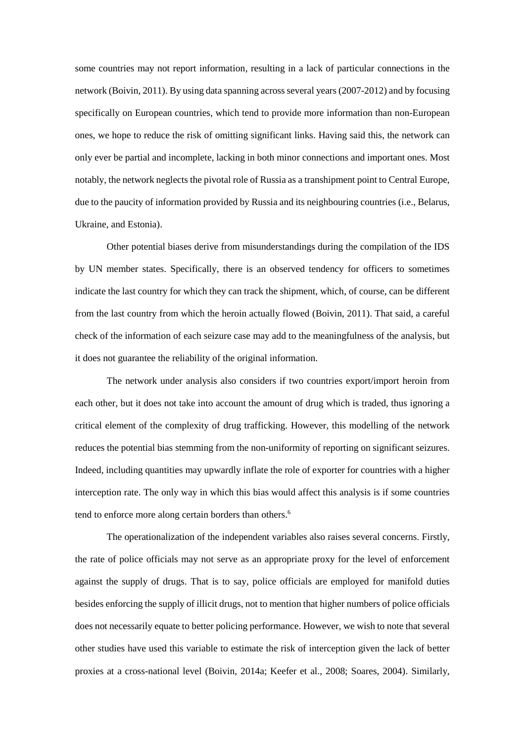some countries may not report information, resulting in a lack of particular connections in the network (Boivin, 2011). By using data spanning across several years (2007-2012) and by focusing specifically on European countries, which tend to provide more information than non-European ones, we hope to reduce the risk of omitting significant links. Having said this, the network can only ever be partial and incomplete, lacking in both minor connections and important ones. Most notably, the network neglects the pivotal role of Russia as a transhipment point to Central Europe, due to the paucity of information provided by Russia and its neighbouring countries (i.e., Belarus, Ukraine, and Estonia).

Other potential biases derive from misunderstandings during the compilation of the IDS by UN member states. Specifically, there is an observed tendency for officers to sometimes indicate the last country for which they can track the shipment, which, of course, can be different from the last country from which the heroin actually flowed (Boivin, 2011). That said, a careful check of the information of each seizure case may add to the meaningfulness of the analysis, but it does not guarantee the reliability of the original information.

The network under analysis also considers if two countries export/import heroin from each other, but it does not take into account the amount of drug which is traded, thus ignoring a critical element of the complexity of drug trafficking. However, this modelling of the network reduces the potential bias stemming from the non-uniformity of reporting on significant seizures. Indeed, including quantities may upwardly inflate the role of exporter for countries with a higher interception rate. The only way in which this bias would affect this analysis is if some countries tend to enforce more along certain borders than others.<sup>6</sup>

The operationalization of the independent variables also raises several concerns. Firstly, the rate of police officials may not serve as an appropriate proxy for the level of enforcement against the supply of drugs. That is to say, police officials are employed for manifold duties besides enforcing the supply of illicit drugs, not to mention that higher numbers of police officials does not necessarily equate to better policing performance. However, we wish to note that several other studies have used this variable to estimate the risk of interception given the lack of better proxies at a cross-national level (Boivin, 2014a; Keefer et al., 2008; Soares, 2004). Similarly,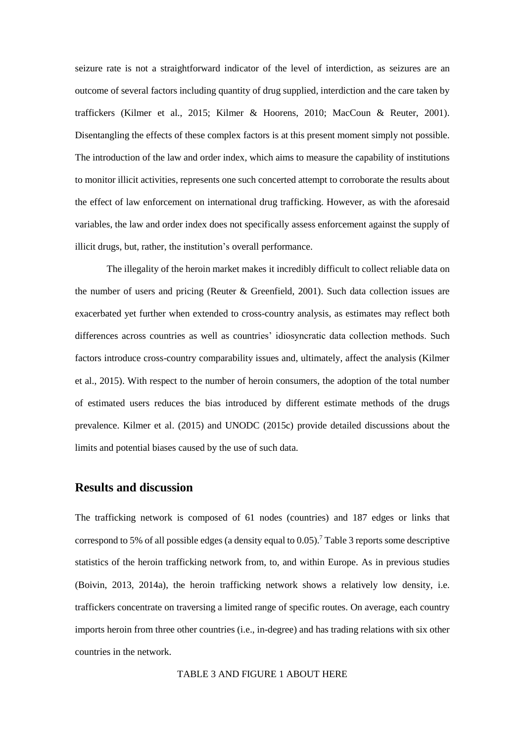seizure rate is not a straightforward indicator of the level of interdiction, as seizures are an outcome of several factors including quantity of drug supplied, interdiction and the care taken by traffickers (Kilmer et al., 2015; Kilmer & Hoorens, 2010; MacCoun & Reuter, 2001). Disentangling the effects of these complex factors is at this present moment simply not possible. The introduction of the law and order index, which aims to measure the capability of institutions to monitor illicit activities, represents one such concerted attempt to corroborate the results about the effect of law enforcement on international drug trafficking. However, as with the aforesaid variables, the law and order index does not specifically assess enforcement against the supply of illicit drugs, but, rather, the institution's overall performance.

The illegality of the heroin market makes it incredibly difficult to collect reliable data on the number of users and pricing (Reuter & Greenfield, 2001). Such data collection issues are exacerbated yet further when extended to cross-country analysis, as estimates may reflect both differences across countries as well as countries' idiosyncratic data collection methods. Such factors introduce cross-country comparability issues and, ultimately, affect the analysis (Kilmer et al., 2015). With respect to the number of heroin consumers, the adoption of the total number of estimated users reduces the bias introduced by different estimate methods of the drugs prevalence. Kilmer et al. (2015) and UNODC (2015c) provide detailed discussions about the limits and potential biases caused by the use of such data.

## **Results and discussion**

The trafficking network is composed of 61 nodes (countries) and 187 edges or links that correspond to 5% of all possible edges (a density equal to  $0.05$ ).<sup>7</sup> Table 3 reports some descriptive statistics of the heroin trafficking network from, to, and within Europe. As in previous studies (Boivin, 2013, 2014a), the heroin trafficking network shows a relatively low density, i.e. traffickers concentrate on traversing a limited range of specific routes. On average, each country imports heroin from three other countries (i.e., in-degree) and has trading relations with six other countries in the network.

TABLE 3 AND FIGURE 1 ABOUT HERE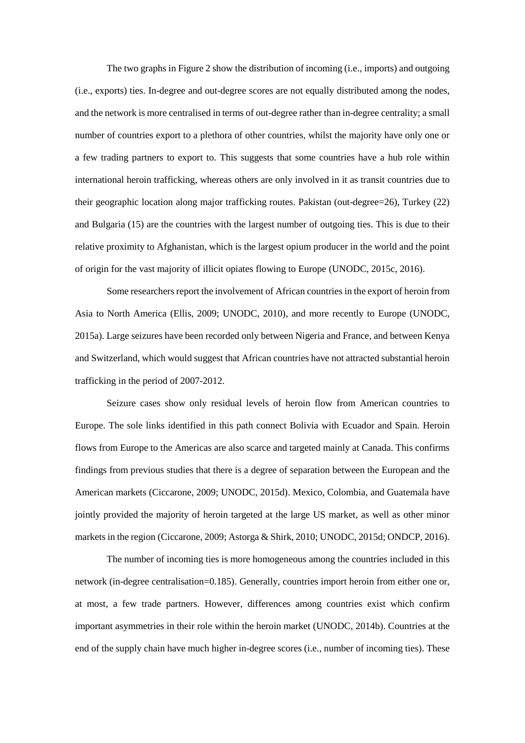The two graphs in Figure 2 show the distribution of incoming (i.e., imports) and outgoing (i.e., exports) ties. In-degree and out-degree scores are not equally distributed among the nodes, and the network is more centralised in terms of out-degree rather than in-degree centrality; a small number of countries export to a plethora of other countries, whilst the majority have only one or a few trading partners to export to. This suggests that some countries have a hub role within international heroin trafficking, whereas others are only involved in it as transit countries due to their geographic location along major trafficking routes. Pakistan (out-degree=26), Turkey (22) and Bulgaria (15) are the countries with the largest number of outgoing ties. This is due to their relative proximity to Afghanistan, which is the largest opium producer in the world and the point of origin for the vast majority of illicit opiates flowing to Europe (UNODC, 2015c, 2016).

Some researchers report the involvement of African countries in the export of heroin from Asia to North America (Ellis, 2009; UNODC, 2010), and more recently to Europe (UNODC, 2015a). Large seizures have been recorded only between Nigeria and France, and between Kenya and Switzerland, which would suggest that African countries have not attracted substantial heroin trafficking in the period of 2007-2012.

Seizure cases show only residual levels of heroin flow from American countries to Europe. The sole links identified in this path connect Bolivia with Ecuador and Spain. Heroin flows from Europe to the Americas are also scarce and targeted mainly at Canada. This confirms findings from previous studies that there is a degree of separation between the European and the American markets (Ciccarone, 2009; UNODC, 2015d). Mexico, Colombia, and Guatemala have jointly provided the majority of heroin targeted at the large US market, as well as other minor markets in the region (Ciccarone, 2009; Astorga & Shirk, 2010; UNODC, 2015d; ONDCP, 2016).

The number of incoming ties is more homogeneous among the countries included in this network (in-degree centralisation=0.185). Generally, countries import heroin from either one or, at most, a few trade partners. However, differences among countries exist which confirm important asymmetries in their role within the heroin market (UNODC, 2014b). Countries at the end of the supply chain have much higher in-degree scores (i.e., number of incoming ties). These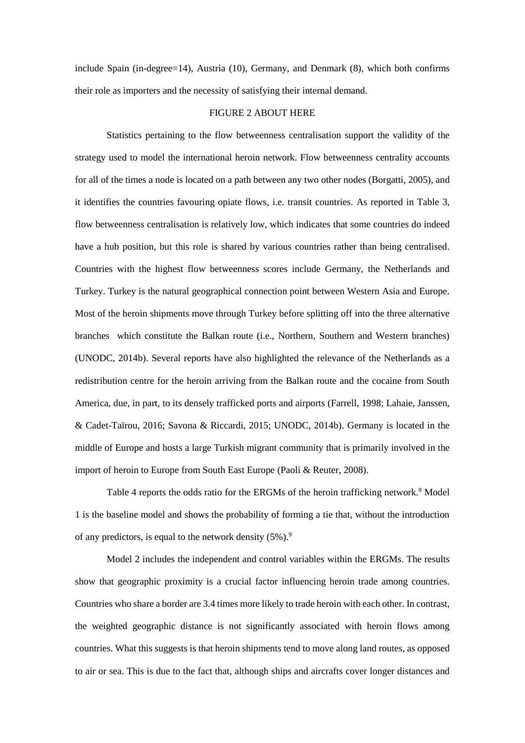include Spain (in-degree=14), Austria (10), Germany, and Denmark (8), which both confirms their role as importers and the necessity of satisfying their internal demand.

#### FIGURE 2 ABOUT HERE

Statistics pertaining to the flow betweenness centralisation support the validity of the strategy used to model the international heroin network. Flow betweenness centrality accounts for all of the times a node is located on a path between any two other nodes (Borgatti, 2005), and it identifies the countries favouring opiate flows, i.e. transit countries. As reported in Table 3, flow betweenness centralisation is relatively low, which indicates that some countries do indeed have a hub position, but this role is shared by various countries rather than being centralised. Countries with the highest flow betweenness scores include Germany, the Netherlands and Turkey. Turkey is the natural geographical connection point between Western Asia and Europe. Most of the heroin shipments move through Turkey before splitting off into the three alternative branches which constitute the Balkan route (i.e., Northern, Southern and Western branches) (UNODC, 2014b). Several reports have also highlighted the relevance of the Netherlands as a redistribution centre for the heroin arriving from the Balkan route and the cocaine from South America, due, in part, to its densely trafficked ports and airports (Farrell, 1998; Lahaie, Janssen, & Cadet-Taïrou, 2016; Savona & Riccardi, 2015; UNODC, 2014b). Germany is located in the middle of Europe and hosts a large Turkish migrant community that is primarily involved in the import of heroin to Europe from South East Europe (Paoli & Reuter, 2008).

Table 4 reports the odds ratio for the ERGMs of the heroin trafficking network.<sup>8</sup> Model 1 is the baseline model and shows the probability of forming a tie that, without the introduction of any predictors, is equal to the network density  $(5\%)$ .<sup>9</sup>

Model 2 includes the independent and control variables within the ERGMs. The results show that geographic proximity is a crucial factor influencing heroin trade among countries. Countries who share a border are 3.4 times more likely to trade heroin with each other. In contrast, the weighted geographic distance is not significantly associated with heroin flows among countries. What this suggests is that heroin shipments tend to move along land routes, as opposed to air or sea. This is due to the fact that, although ships and aircrafts cover longer distances and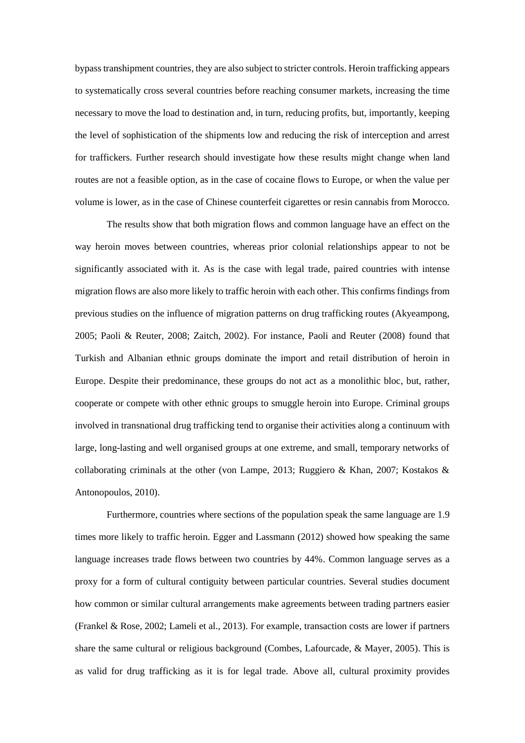bypass transhipment countries, they are also subject to stricter controls. Heroin trafficking appears to systematically cross several countries before reaching consumer markets, increasing the time necessary to move the load to destination and, in turn, reducing profits, but, importantly, keeping the level of sophistication of the shipments low and reducing the risk of interception and arrest for traffickers. Further research should investigate how these results might change when land routes are not a feasible option, as in the case of cocaine flows to Europe, or when the value per volume is lower, as in the case of Chinese counterfeit cigarettes or resin cannabis from Morocco.

The results show that both migration flows and common language have an effect on the way heroin moves between countries, whereas prior colonial relationships appear to not be significantly associated with it. As is the case with legal trade, paired countries with intense migration flows are also more likely to traffic heroin with each other. This confirms findings from previous studies on the influence of migration patterns on drug trafficking routes (Akyeampong, 2005; Paoli & Reuter, 2008; Zaitch, 2002). For instance, Paoli and Reuter (2008) found that Turkish and Albanian ethnic groups dominate the import and retail distribution of heroin in Europe. Despite their predominance, these groups do not act as a monolithic bloc, but, rather, cooperate or compete with other ethnic groups to smuggle heroin into Europe. Criminal groups involved in transnational drug trafficking tend to organise their activities along a continuum with large, long-lasting and well organised groups at one extreme, and small, temporary networks of collaborating criminals at the other (von Lampe, 2013; Ruggiero & Khan, 2007; Kostakos & Antonopoulos, 2010).

Furthermore, countries where sections of the population speak the same language are 1.9 times more likely to traffic heroin. Egger and Lassmann (2012) showed how speaking the same language increases trade flows between two countries by 44%. Common language serves as a proxy for a form of cultural contiguity between particular countries. Several studies document how common or similar cultural arrangements make agreements between trading partners easier (Frankel & Rose, 2002; Lameli et al., 2013). For example, transaction costs are lower if partners share the same cultural or religious background (Combes, Lafourcade, & Mayer, 2005). This is as valid for drug trafficking as it is for legal trade. Above all, cultural proximity provides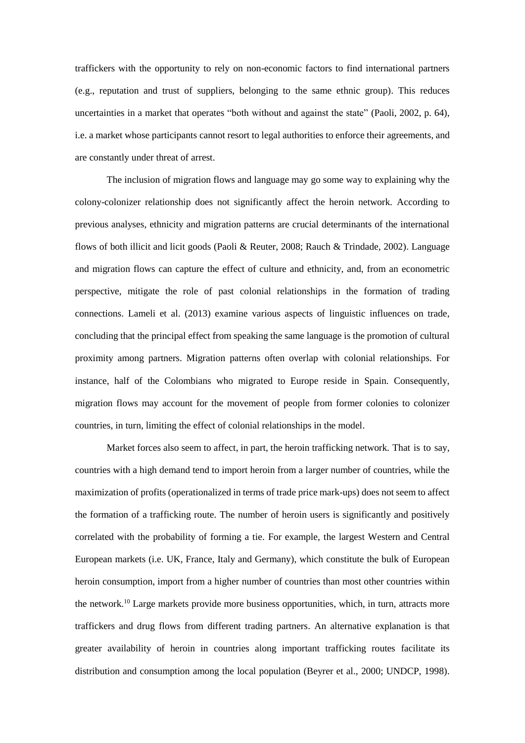traffickers with the opportunity to rely on non-economic factors to find international partners (e.g., reputation and trust of suppliers, belonging to the same ethnic group). This reduces uncertainties in a market that operates "both without and against the state" (Paoli, 2002, p. 64), i.e. a market whose participants cannot resort to legal authorities to enforce their agreements, and are constantly under threat of arrest.

The inclusion of migration flows and language may go some way to explaining why the colony-colonizer relationship does not significantly affect the heroin network. According to previous analyses, ethnicity and migration patterns are crucial determinants of the international flows of both illicit and licit goods (Paoli & Reuter, 2008; Rauch & Trindade, 2002). Language and migration flows can capture the effect of culture and ethnicity, and, from an econometric perspective, mitigate the role of past colonial relationships in the formation of trading connections. Lameli et al. (2013) examine various aspects of linguistic influences on trade, concluding that the principal effect from speaking the same language is the promotion of cultural proximity among partners. Migration patterns often overlap with colonial relationships. For instance, half of the Colombians who migrated to Europe reside in Spain. Consequently, migration flows may account for the movement of people from former colonies to colonizer countries, in turn, limiting the effect of colonial relationships in the model.

Market forces also seem to affect, in part, the heroin trafficking network. That is to say, countries with a high demand tend to import heroin from a larger number of countries, while the maximization of profits (operationalized in terms of trade price mark-ups) does not seem to affect the formation of a trafficking route. The number of heroin users is significantly and positively correlated with the probability of forming a tie. For example, the largest Western and Central European markets (i.e. UK, France, Italy and Germany), which constitute the bulk of European heroin consumption, import from a higher number of countries than most other countries within the network.<sup>10</sup> Large markets provide more business opportunities, which, in turn, attracts more traffickers and drug flows from different trading partners. An alternative explanation is that greater availability of heroin in countries along important trafficking routes facilitate its distribution and consumption among the local population (Beyrer et al., 2000; UNDCP, 1998).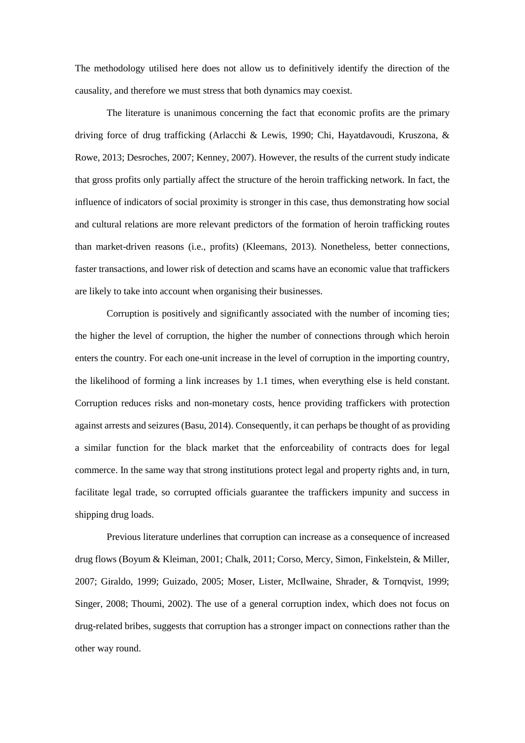The methodology utilised here does not allow us to definitively identify the direction of the causality, and therefore we must stress that both dynamics may coexist.

The literature is unanimous concerning the fact that economic profits are the primary driving force of drug trafficking (Arlacchi & Lewis, 1990; Chi, Hayatdavoudi, Kruszona, & Rowe, 2013; Desroches, 2007; Kenney, 2007). However, the results of the current study indicate that gross profits only partially affect the structure of the heroin trafficking network. In fact, the influence of indicators of social proximity is stronger in this case, thus demonstrating how social and cultural relations are more relevant predictors of the formation of heroin trafficking routes than market-driven reasons (i.e., profits) (Kleemans, 2013). Nonetheless, better connections, faster transactions, and lower risk of detection and scams have an economic value that traffickers are likely to take into account when organising their businesses.

Corruption is positively and significantly associated with the number of incoming ties; the higher the level of corruption, the higher the number of connections through which heroin enters the country. For each one-unit increase in the level of corruption in the importing country, the likelihood of forming a link increases by 1.1 times, when everything else is held constant. Corruption reduces risks and non-monetary costs, hence providing traffickers with protection against arrests and seizures (Basu, 2014). Consequently, it can perhaps be thought of as providing a similar function for the black market that the enforceability of contracts does for legal commerce. In the same way that strong institutions protect legal and property rights and, in turn, facilitate legal trade, so corrupted officials guarantee the traffickers impunity and success in shipping drug loads.

Previous literature underlines that corruption can increase as a consequence of increased drug flows (Boyum & Kleiman, 2001; Chalk, 2011; Corso, Mercy, Simon, Finkelstein, & Miller, 2007; Giraldo, 1999; Guizado, 2005; Moser, Lister, McIlwaine, Shrader, & Tornqvist, 1999; Singer, 2008; Thoumi, 2002). The use of a general corruption index, which does not focus on drug-related bribes, suggests that corruption has a stronger impact on connections rather than the other way round.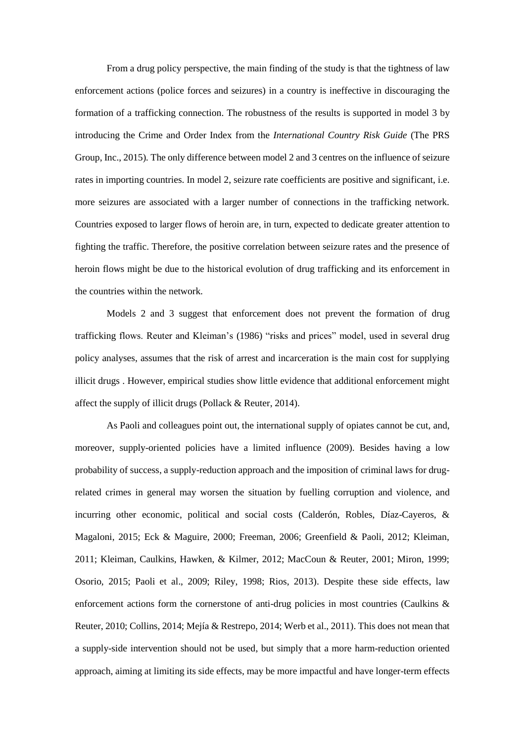From a drug policy perspective, the main finding of the study is that the tightness of law enforcement actions (police forces and seizures) in a country is ineffective in discouraging the formation of a trafficking connection. The robustness of the results is supported in model 3 by introducing the Crime and Order Index from the *International Country Risk Guide* (The PRS Group, Inc., 2015)*.* The only difference between model 2 and 3 centres on the influence of seizure rates in importing countries. In model 2, seizure rate coefficients are positive and significant, i.e. more seizures are associated with a larger number of connections in the trafficking network. Countries exposed to larger flows of heroin are, in turn, expected to dedicate greater attention to fighting the traffic. Therefore, the positive correlation between seizure rates and the presence of heroin flows might be due to the historical evolution of drug trafficking and its enforcement in the countries within the network.

Models 2 and 3 suggest that enforcement does not prevent the formation of drug trafficking flows. Reuter and Kleiman's (1986) "risks and prices" model, used in several drug policy analyses, assumes that the risk of arrest and incarceration is the main cost for supplying illicit drugs . However, empirical studies show little evidence that additional enforcement might affect the supply of illicit drugs (Pollack & Reuter, 2014).

As Paoli and colleagues point out, the international supply of opiates cannot be cut, and, moreover, supply-oriented policies have a limited influence (2009). Besides having a low probability of success, a supply-reduction approach and the imposition of criminal laws for drugrelated crimes in general may worsen the situation by fuelling corruption and violence, and incurring other economic, political and social costs (Calderón, Robles, Díaz-Cayeros, & Magaloni, 2015; Eck & Maguire, 2000; Freeman, 2006; Greenfield & Paoli, 2012; Kleiman, 2011; Kleiman, Caulkins, Hawken, & Kilmer, 2012; MacCoun & Reuter, 2001; Miron, 1999; Osorio, 2015; Paoli et al., 2009; Riley, 1998; Rios, 2013). Despite these side effects, law enforcement actions form the cornerstone of anti-drug policies in most countries (Caulkins & Reuter, 2010; Collins, 2014; Mejía & Restrepo, 2014; Werb et al., 2011). This does not mean that a supply-side intervention should not be used, but simply that a more harm-reduction oriented approach, aiming at limiting its side effects, may be more impactful and have longer-term effects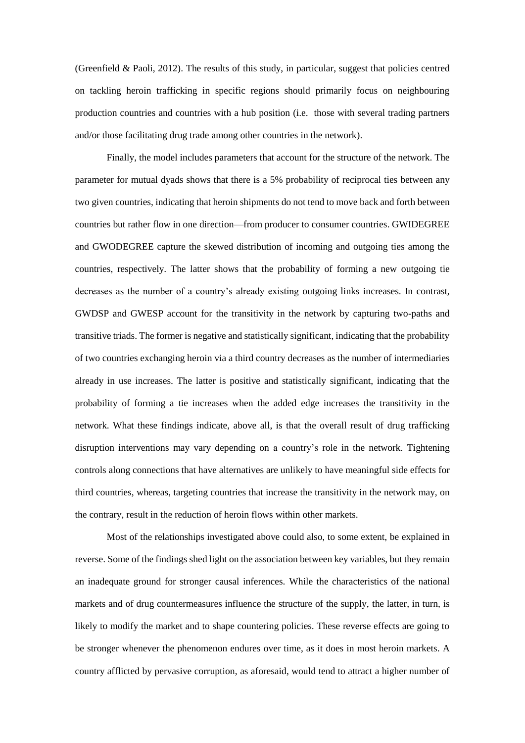(Greenfield & Paoli, 2012). The results of this study, in particular, suggest that policies centred on tackling heroin trafficking in specific regions should primarily focus on neighbouring production countries and countries with a hub position (i.e. those with several trading partners and/or those facilitating drug trade among other countries in the network).

Finally, the model includes parameters that account for the structure of the network. The parameter for mutual dyads shows that there is a 5% probability of reciprocal ties between any two given countries, indicating that heroin shipments do not tend to move back and forth between countries but rather flow in one direction—from producer to consumer countries. GWIDEGREE and GWODEGREE capture the skewed distribution of incoming and outgoing ties among the countries, respectively. The latter shows that the probability of forming a new outgoing tie decreases as the number of a country's already existing outgoing links increases. In contrast, GWDSP and GWESP account for the transitivity in the network by capturing two-paths and transitive triads. The former is negative and statistically significant, indicating that the probability of two countries exchanging heroin via a third country decreases as the number of intermediaries already in use increases. The latter is positive and statistically significant, indicating that the probability of forming a tie increases when the added edge increases the transitivity in the network. What these findings indicate, above all, is that the overall result of drug trafficking disruption interventions may vary depending on a country's role in the network. Tightening controls along connections that have alternatives are unlikely to have meaningful side effects for third countries, whereas, targeting countries that increase the transitivity in the network may, on the contrary, result in the reduction of heroin flows within other markets.

Most of the relationships investigated above could also, to some extent, be explained in reverse. Some of the findings shed light on the association between key variables, but they remain an inadequate ground for stronger causal inferences. While the characteristics of the national markets and of drug countermeasures influence the structure of the supply, the latter, in turn, is likely to modify the market and to shape countering policies. These reverse effects are going to be stronger whenever the phenomenon endures over time, as it does in most heroin markets. A country afflicted by pervasive corruption, as aforesaid, would tend to attract a higher number of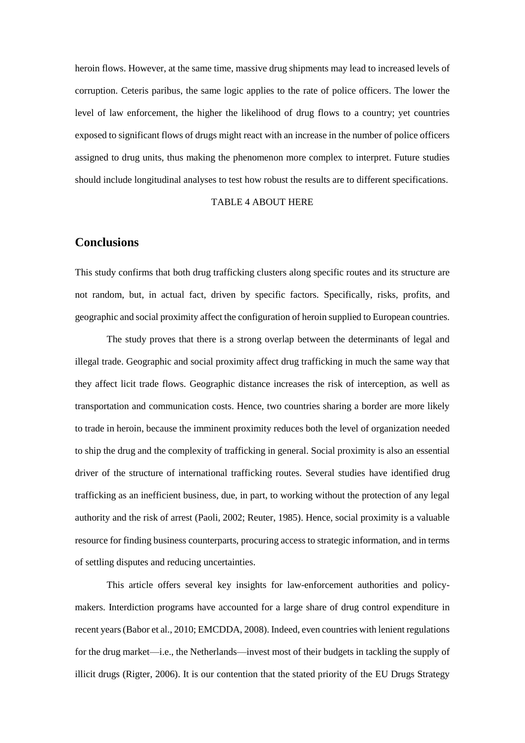heroin flows. However, at the same time, massive drug shipments may lead to increased levels of corruption. Ceteris paribus, the same logic applies to the rate of police officers. The lower the level of law enforcement, the higher the likelihood of drug flows to a country; yet countries exposed to significant flows of drugs might react with an increase in the number of police officers assigned to drug units, thus making the phenomenon more complex to interpret. Future studies should include longitudinal analyses to test how robust the results are to different specifications.

#### TABLE 4 ABOUT HERE

# **Conclusions**

This study confirms that both drug trafficking clusters along specific routes and its structure are not random, but, in actual fact, driven by specific factors. Specifically, risks, profits, and geographic and social proximity affect the configuration of heroin supplied to European countries.

The study proves that there is a strong overlap between the determinants of legal and illegal trade. Geographic and social proximity affect drug trafficking in much the same way that they affect licit trade flows. Geographic distance increases the risk of interception, as well as transportation and communication costs. Hence, two countries sharing a border are more likely to trade in heroin, because the imminent proximity reduces both the level of organization needed to ship the drug and the complexity of trafficking in general. Social proximity is also an essential driver of the structure of international trafficking routes. Several studies have identified drug trafficking as an inefficient business, due, in part, to working without the protection of any legal authority and the risk of arrest (Paoli, 2002; Reuter, 1985). Hence, social proximity is a valuable resource for finding business counterparts, procuring access to strategic information, and in terms of settling disputes and reducing uncertainties.

This article offers several key insights for law-enforcement authorities and policymakers. Interdiction programs have accounted for a large share of drug control expenditure in recent years (Babor et al., 2010; EMCDDA, 2008). Indeed, even countries with lenient regulations for the drug market—i.e., the Netherlands—invest most of their budgets in tackling the supply of illicit drugs (Rigter, 2006). It is our contention that the stated priority of the EU Drugs Strategy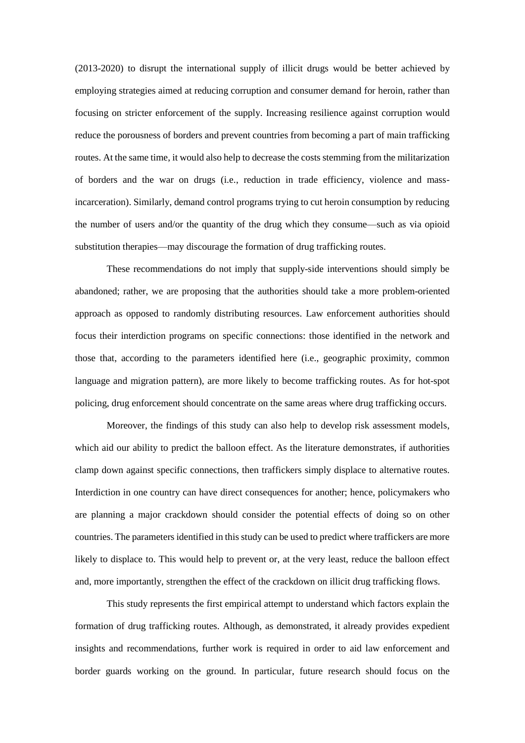(2013-2020) to disrupt the international supply of illicit drugs would be better achieved by employing strategies aimed at reducing corruption and consumer demand for heroin, rather than focusing on stricter enforcement of the supply. Increasing resilience against corruption would reduce the porousness of borders and prevent countries from becoming a part of main trafficking routes. At the same time, it would also help to decrease the costs stemming from the militarization of borders and the war on drugs (i.e., reduction in trade efficiency, violence and massincarceration). Similarly, demand control programs trying to cut heroin consumption by reducing the number of users and/or the quantity of the drug which they consume—such as via opioid substitution therapies—may discourage the formation of drug trafficking routes.

These recommendations do not imply that supply-side interventions should simply be abandoned; rather, we are proposing that the authorities should take a more problem-oriented approach as opposed to randomly distributing resources. Law enforcement authorities should focus their interdiction programs on specific connections: those identified in the network and those that, according to the parameters identified here (i.e., geographic proximity, common language and migration pattern), are more likely to become trafficking routes. As for hot-spot policing, drug enforcement should concentrate on the same areas where drug trafficking occurs.

Moreover, the findings of this study can also help to develop risk assessment models, which aid our ability to predict the balloon effect. As the literature demonstrates, if authorities clamp down against specific connections, then traffickers simply displace to alternative routes. Interdiction in one country can have direct consequences for another; hence, policymakers who are planning a major crackdown should consider the potential effects of doing so on other countries. The parameters identified in this study can be used to predict where traffickers are more likely to displace to. This would help to prevent or, at the very least, reduce the balloon effect and, more importantly, strengthen the effect of the crackdown on illicit drug trafficking flows.

This study represents the first empirical attempt to understand which factors explain the formation of drug trafficking routes. Although, as demonstrated, it already provides expedient insights and recommendations, further work is required in order to aid law enforcement and border guards working on the ground. In particular, future research should focus on the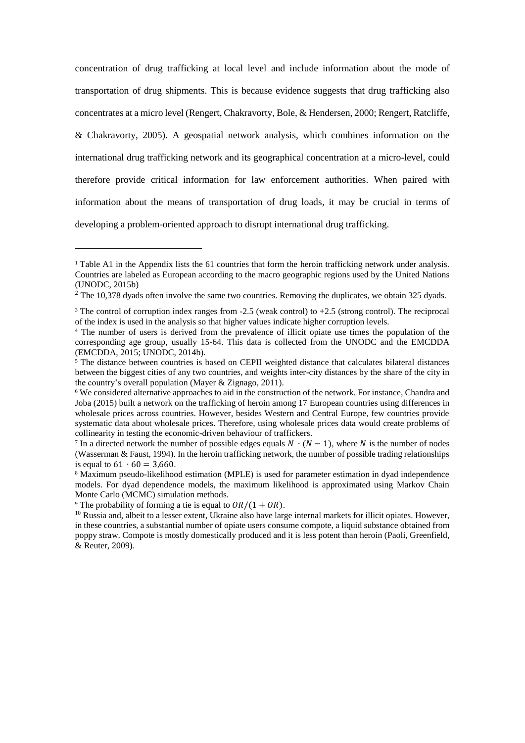concentration of drug trafficking at local level and include information about the mode of transportation of drug shipments. This is because evidence suggests that drug trafficking also concentrates at a micro level (Rengert, Chakravorty, Bole, & Hendersen, 2000; Rengert, Ratcliffe, & Chakravorty, 2005). A geospatial network analysis, which combines information on the international drug trafficking network and its geographical concentration at a micro-level, could therefore provide critical information for law enforcement authorities. When paired with information about the means of transportation of drug loads, it may be crucial in terms of developing a problem-oriented approach to disrupt international drug trafficking.

-

<sup>&</sup>lt;sup>1</sup> Table A1 in the Appendix lists the 61 countries that form the heroin trafficking network under analysis. Countries are labeled as European according to the macro geographic regions used by the United Nations (UNODC, 2015b)

 $2$  The 10,378 dyads often involve the same two countries. Removing the duplicates, we obtain 325 dyads.

<sup>3</sup> The control of corruption index ranges from -2.5 (weak control) to +2.5 (strong control). The reciprocal of the index is used in the analysis so that higher values indicate higher corruption levels.

<sup>4</sup> The number of users is derived from the prevalence of illicit opiate use times the population of the corresponding age group, usually 15-64. This data is collected from the UNODC and the EMCDDA (EMCDDA, 2015; UNODC, 2014b).

<sup>&</sup>lt;sup>5</sup> The distance between countries is based on CEPII weighted distance that calculates bilateral distances between the biggest cities of any two countries, and weights inter-city distances by the share of the city in the country's overall population (Mayer & Zignago, 2011).

<sup>6</sup> We considered alternative approaches to aid in the construction of the network. For instance, Chandra and Joba (2015) built a network on the trafficking of heroin among 17 European countries using differences in wholesale prices across countries. However, besides Western and Central Europe, few countries provide systematic data about wholesale prices. Therefore, using wholesale prices data would create problems of collinearity in testing the economic-driven behaviour of traffickers.

<sup>&</sup>lt;sup>7</sup> In a directed network the number of possible edges equals  $N \cdot (N-1)$ , where N is the number of nodes (Wasserman & Faust, 1994). In the heroin trafficking network, the number of possible trading relationships is equal to  $61 \cdot 60 = 3,660$ .

<sup>&</sup>lt;sup>8</sup> Maximum pseudo-likelihood estimation (MPLE) is used for parameter estimation in dyad independence models. For dyad dependence models, the maximum likelihood is approximated using Markov Chain Monte Carlo (MCMC) simulation methods.

<sup>&</sup>lt;sup>9</sup> The probability of forming a tie is equal to  $OR/(1 + OR)$ .

 $10$  Russia and, albeit to a lesser extent, Ukraine also have large internal markets for illicit opiates. However, in these countries, a substantial number of opiate users consume compote, a liquid substance obtained from poppy straw. Compote is mostly domestically produced and it is less potent than heroin (Paoli, Greenfield, & Reuter, 2009).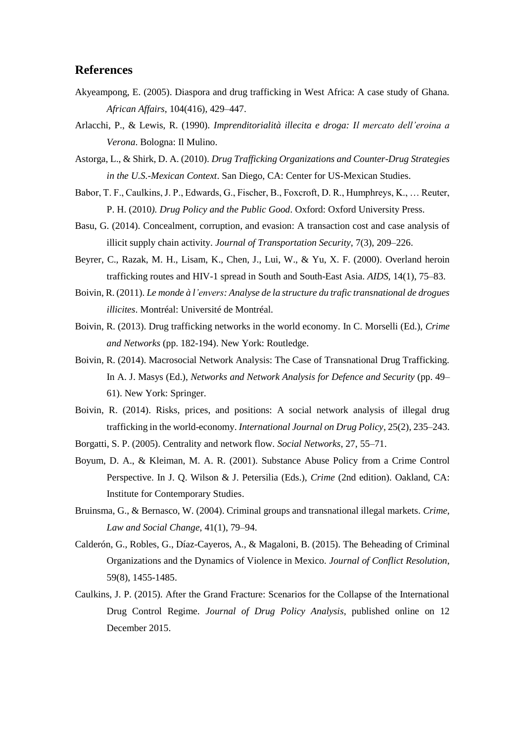## **References**

- Akyeampong, E. (2005). Diaspora and drug trafficking in West Africa: A case study of Ghana. *African Affairs*, 104(416), 429–447.
- Arlacchi, P., & Lewis, R. (1990). *Imprenditorialità illecita e droga: Il mercato dell'eroina a Verona*. Bologna: Il Mulino.
- Astorga, L., & Shirk, D. A. (2010). *Drug Trafficking Organizations and Counter-Drug Strategies in the U.S.-Mexican Context*. San Diego, CA: Center for US-Mexican Studies.
- Babor, T. F., Caulkins, J. P., Edwards, G., Fischer, B., Foxcroft, D. R., Humphreys, K., … Reuter, P. H. (2010*). Drug Policy and the Public Good*. Oxford: Oxford University Press.
- Basu, G. (2014). Concealment, corruption, and evasion: A transaction cost and case analysis of illicit supply chain activity. *Journal of Transportation Security*, 7(3), 209–226.
- Beyrer, C., Razak, M. H., Lisam, K., Chen, J., Lui, W., & Yu, X. F. (2000). Overland heroin trafficking routes and HIV-1 spread in South and South-East Asia. *AIDS*, 14(1), 75–83.
- Boivin, R. (2011). *Le monde à l'envers: Analyse de la structure du trafic transnational de drogues illicites*. Montréal: Université de Montréal.
- Boivin, R. (2013). Drug trafficking networks in the world economy. In C. Morselli (Ed.), *Crime and Networks* (pp. 182-194). New York: Routledge.
- Boivin, R. (2014). Macrosocial Network Analysis: The Case of Transnational Drug Trafficking. In A. J. Masys (Ed.), *Networks and Network Analysis for Defence and Security* (pp. 49– 61). New York: Springer.
- Boivin, R. (2014). Risks, prices, and positions: A social network analysis of illegal drug trafficking in the world-economy. *International Journal on Drug Policy*, 25(2), 235–243.
- Borgatti, S. P. (2005). Centrality and network flow. *Social Networks*, 27, 55–71.
- Boyum, D. A., & Kleiman, M. A. R. (2001). Substance Abuse Policy from a Crime Control Perspective. In J. Q. Wilson & J. Petersilia (Eds.), *Crime* (2nd edition). Oakland, CA: Institute for Contemporary Studies.
- Bruinsma, G., & Bernasco, W. (2004). Criminal groups and transnational illegal markets. *Crime, Law and Social Change*, 41(1), 79–94.
- Calderón, G., Robles, G., Díaz-Cayeros, A., & Magaloni, B. (2015). The Beheading of Criminal Organizations and the Dynamics of Violence in Mexico. *Journal of Conflict Resolution*, 59(8), 1455-1485.
- Caulkins, J. P. (2015). After the Grand Fracture: Scenarios for the Collapse of the International Drug Control Regime. *Journal of Drug Policy Analysis*, published online on 12 December 2015.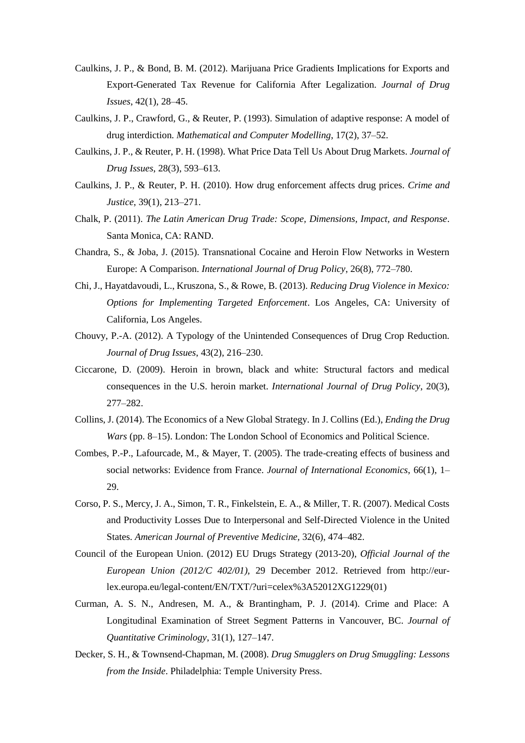- Caulkins, J. P., & Bond, B. M. (2012). Marijuana Price Gradients Implications for Exports and Export-Generated Tax Revenue for California After Legalization. *Journal of Drug Issues*, 42(1), 28–45.
- Caulkins, J. P., Crawford, G., & Reuter, P. (1993). Simulation of adaptive response: A model of drug interdiction. *Mathematical and Computer Modelling*, 17(2), 37–52.
- Caulkins, J. P., & Reuter, P. H. (1998). What Price Data Tell Us About Drug Markets. *Journal of Drug Issues*, 28(3), 593–613.
- Caulkins, J. P., & Reuter, P. H. (2010). How drug enforcement affects drug prices. *Crime and Justice*, 39(1), 213–271.
- Chalk, P. (2011). *The Latin American Drug Trade: Scope, Dimensions, Impact, and Response*. Santa Monica, CA: RAND.
- Chandra, S., & Joba, J. (2015). Transnational Cocaine and Heroin Flow Networks in Western Europe: A Comparison. *International Journal of Drug Policy*, 26(8), 772–780.
- Chi, J., Hayatdavoudi, L., Kruszona, S., & Rowe, B. (2013). *Reducing Drug Violence in Mexico: Options for Implementing Targeted Enforcement*. Los Angeles, CA: University of California, Los Angeles.
- Chouvy, P.-A. (2012). A Typology of the Unintended Consequences of Drug Crop Reduction. *Journal of Drug Issues*, 43(2), 216–230.
- Ciccarone, D. (2009). Heroin in brown, black and white: Structural factors and medical consequences in the U.S. heroin market. *International Journal of Drug Policy*, 20(3), 277–282.
- Collins, J. (2014). The Economics of a New Global Strategy. In J. Collins (Ed.), *Ending the Drug Wars* (pp. 8–15). London: The London School of Economics and Political Science.
- Combes, P.-P., Lafourcade, M., & Mayer, T. (2005). The trade-creating effects of business and social networks: Evidence from France. *Journal of International Economics*, 66(1), 1– 29.
- Corso, P. S., Mercy, J. A., Simon, T. R., Finkelstein, E. A., & Miller, T. R. (2007). Medical Costs and Productivity Losses Due to Interpersonal and Self-Directed Violence in the United States. *American Journal of Preventive Medicine,* 32(6), 474–482.
- Council of the European Union. (2012) EU Drugs Strategy (2013-20), *Official Journal of the European Union (2012/C 402/01),* 29 December 2012. Retrieved from http://eurlex.europa.eu/legal-content/EN/TXT/?uri=celex%3A52012XG1229(01)
- Curman, A. S. N., Andresen, M. A., & Brantingham, P. J. (2014). Crime and Place: A Longitudinal Examination of Street Segment Patterns in Vancouver, BC. *Journal of Quantitative Criminology*, 31(1), 127–147.
- Decker, S. H., & Townsend-Chapman, M. (2008). *Drug Smugglers on Drug Smuggling: Lessons from the Inside*. Philadelphia: Temple University Press.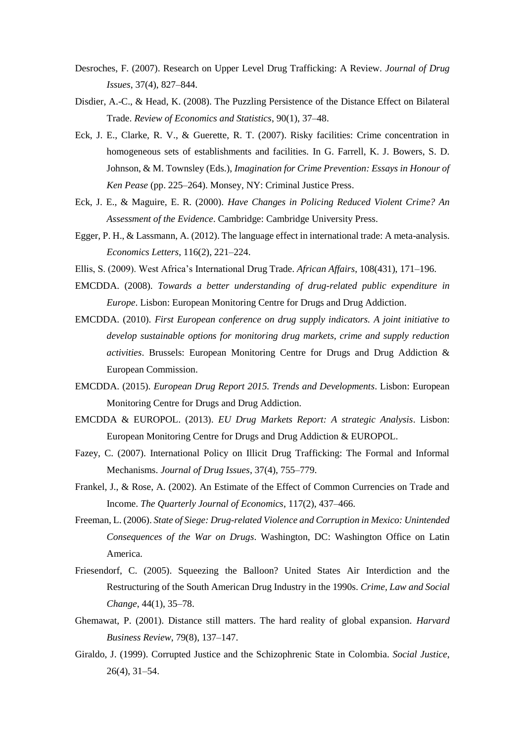- Desroches, F. (2007). Research on Upper Level Drug Trafficking: A Review. *Journal of Drug Issues*, 37(4), 827–844.
- Disdier, A.-C., & Head, K. (2008). The Puzzling Persistence of the Distance Effect on Bilateral Trade. *Review of Economics and Statistics*, 90(1), 37–48.
- Eck, J. E., Clarke, R. V., & Guerette, R. T. (2007). Risky facilities: Crime concentration in homogeneous sets of establishments and facilities. In G. Farrell, K. J. Bowers, S. D. Johnson, & M. Townsley (Eds.), *Imagination for Crime Prevention: Essays in Honour of Ken Pease* (pp. 225–264). Monsey, NY: Criminal Justice Press.
- Eck, J. E., & Maguire, E. R. (2000). *Have Changes in Policing Reduced Violent Crime? An Assessment of the Evidence*. Cambridge: Cambridge University Press.
- Egger, P. H., & Lassmann, A. (2012). The language effect in international trade: A meta-analysis. *Economics Letters*, 116(2), 221–224.
- Ellis, S. (2009). West Africa's International Drug Trade. *African Affairs*, 108(431), 171–196.
- EMCDDA. (2008). *Towards a better understanding of drug-related public expenditure in Europe*. Lisbon: European Monitoring Centre for Drugs and Drug Addiction.
- EMCDDA. (2010). *First European conference on drug supply indicators. A joint initiative to develop sustainable options for monitoring drug markets, crime and supply reduction activities*. Brussels: European Monitoring Centre for Drugs and Drug Addiction & European Commission.
- EMCDDA. (2015). *European Drug Report 2015. Trends and Developments*. Lisbon: European Monitoring Centre for Drugs and Drug Addiction.
- EMCDDA & EUROPOL. (2013). *EU Drug Markets Report: A strategic Analysis*. Lisbon: European Monitoring Centre for Drugs and Drug Addiction & EUROPOL.
- Fazey, C. (2007). International Policy on Illicit Drug Trafficking: The Formal and Informal Mechanisms. *Journal of Drug Issues*, 37(4), 755–779.
- Frankel, J., & Rose, A. (2002). An Estimate of the Effect of Common Currencies on Trade and Income. *The Quarterly Journal of Economics*, 117(2), 437–466.
- Freeman, L. (2006). *State of Siege: Drug-related Violence and Corruption in Mexico: Unintended Consequences of the War on Drugs*. Washington, DC: Washington Office on Latin America.
- Friesendorf, C. (2005). Squeezing the Balloon? United States Air Interdiction and the Restructuring of the South American Drug Industry in the 1990s. *Crime, Law and Social Change*, 44(1), 35–78.
- Ghemawat, P. (2001). Distance still matters. The hard reality of global expansion. *Harvard Business Review*, 79(8), 137–147.
- Giraldo, J. (1999). Corrupted Justice and the Schizophrenic State in Colombia. *Social Justice*, 26(4), 31–54.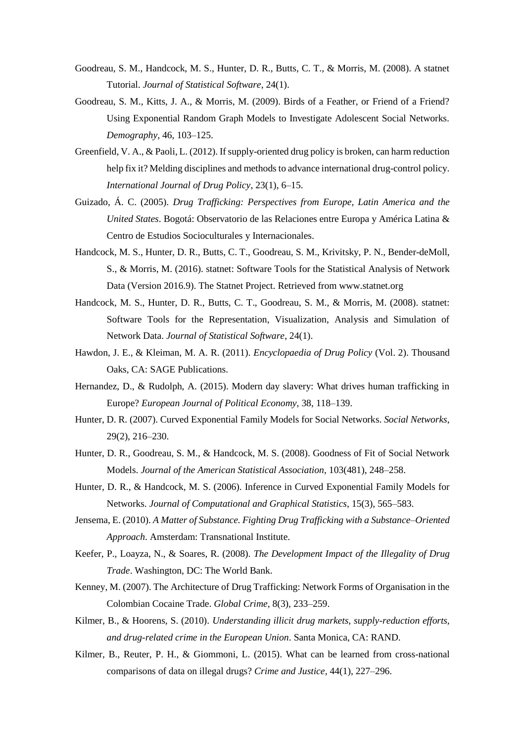- Goodreau, S. M., Handcock, M. S., Hunter, D. R., Butts, C. T., & Morris, M. (2008). A statnet Tutorial. *Journal of Statistical Software*, 24(1).
- Goodreau, S. M., Kitts, J. A., & Morris, M. (2009). Birds of a Feather, or Friend of a Friend? Using Exponential Random Graph Models to Investigate Adolescent Social Networks. *Demography*, 46, 103–125.
- Greenfield, V. A., & Paoli, L. (2012). If supply-oriented drug policy is broken, can harm reduction help fix it? Melding disciplines and methods to advance international drug-control policy. *International Journal of Drug Policy*, 23(1), 6–15.
- Guizado, Á. C. (2005). *Drug Trafficking: Perspectives from Europe, Latin America and the United States*. Bogotá: Observatorio de las Relaciones entre Europa y América Latina & Centro de Estudios Socioculturales y Internacionales.
- Handcock, M. S., Hunter, D. R., Butts, C. T., Goodreau, S. M., Krivitsky, P. N., Bender-deMoll, S., & Morris, M. (2016). statnet: Software Tools for the Statistical Analysis of Network Data (Version 2016.9). The Statnet Project. Retrieved from www.statnet.org
- Handcock, M. S., Hunter, D. R., Butts, C. T., Goodreau, S. M., & Morris, M. (2008). statnet: Software Tools for the Representation, Visualization, Analysis and Simulation of Network Data. *Journal of Statistical Software*, 24(1).
- Hawdon, J. E., & Kleiman, M. A. R. (2011). *Encyclopaedia of Drug Policy* (Vol. 2). Thousand Oaks, CA: SAGE Publications.
- Hernandez, D., & Rudolph, A. (2015). Modern day slavery: What drives human trafficking in Europe? *European Journal of Political Economy*, 38, 118–139.
- Hunter, D. R. (2007). Curved Exponential Family Models for Social Networks. *Social Networks*, 29(2), 216–230.
- Hunter, D. R., Goodreau, S. M., & Handcock, M. S. (2008). Goodness of Fit of Social Network Models. *Journal of the American Statistical Association*, 103(481), 248–258.
- Hunter, D. R., & Handcock, M. S. (2006). Inference in Curved Exponential Family Models for Networks. *Journal of Computational and Graphical Statistics*, 15(3), 565–583.
- Jensema, E. (2010). *A Matter of Substance. Fighting Drug Trafficking with a Substance–Oriented Approach*. Amsterdam: Transnational Institute.
- Keefer, P., Loayza, N., & Soares, R. (2008). *The Development Impact of the Illegality of Drug Trade*. Washington, DC: The World Bank.
- Kenney, M. (2007). The Architecture of Drug Trafficking: Network Forms of Organisation in the Colombian Cocaine Trade. *Global Crime*, 8(3), 233–259.
- Kilmer, B., & Hoorens, S. (2010). *Understanding illicit drug markets, supply-reduction efforts, and drug-related crime in the European Union*. Santa Monica, CA: RAND.
- Kilmer, B., Reuter, P. H., & Giommoni, L. (2015). What can be learned from cross-national comparisons of data on illegal drugs? *Crime and Justice*, 44(1), 227–296.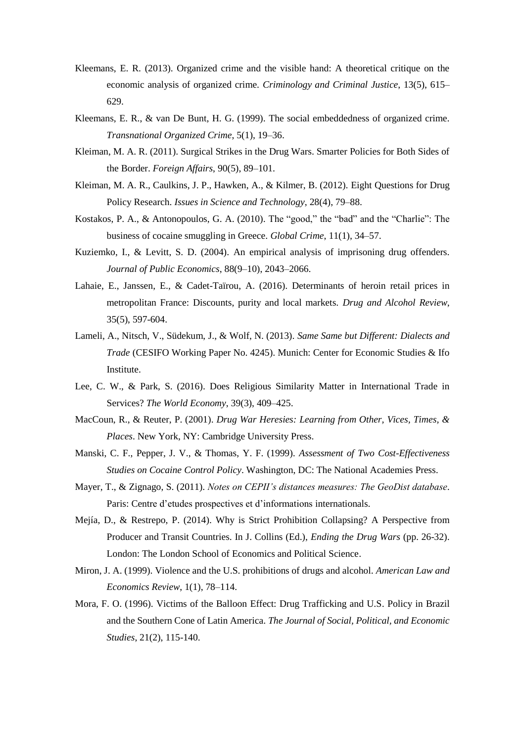- Kleemans, E. R. (2013). Organized crime and the visible hand: A theoretical critique on the economic analysis of organized crime. *Criminology and Criminal Justice*, 13(5), 615– 629.
- Kleemans, E. R., & van De Bunt, H. G. (1999). The social embeddedness of organized crime. *Transnational Organized Crime*, 5(1), 19–36.
- Kleiman, M. A. R. (2011). Surgical Strikes in the Drug Wars. Smarter Policies for Both Sides of the Border. *Foreign Affairs*, 90(5), 89–101.
- Kleiman, M. A. R., Caulkins, J. P., Hawken, A., & Kilmer, B. (2012). Eight Questions for Drug Policy Research. *Issues in Science and Technology*, 28(4), 79–88.
- Kostakos, P. A., & Antonopoulos, G. A. (2010). The "good," the "bad" and the "Charlie": The business of cocaine smuggling in Greece. *Global Crime*, 11(1), 34–57.
- Kuziemko, I., & Levitt, S. D. (2004). An empirical analysis of imprisoning drug offenders. *Journal of Public Economics*, 88(9–10), 2043–2066.
- Lahaie, E., Janssen, E., & Cadet-Taïrou, A. (2016). Determinants of heroin retail prices in metropolitan France: Discounts, purity and local markets. *Drug and Alcohol Review*, 35(5), 597-604.
- Lameli, A., Nitsch, V., Südekum, J., & Wolf, N. (2013). *Same Same but Different: Dialects and Trade* (CESIFO Working Paper No. 4245). Munich: Center for Economic Studies & Ifo Institute.
- Lee, C. W., & Park, S. (2016). Does Religious Similarity Matter in International Trade in Services? *The World Economy*, 39(3), 409–425.
- MacCoun, R., & Reuter, P. (2001). *Drug War Heresies: Learning from Other, Vices, Times, & Places*. New York, NY: Cambridge University Press.
- Manski, C. F., Pepper, J. V., & Thomas, Y. F. (1999). *Assessment of Two Cost-Effectiveness Studies on Cocaine Control Policy*. Washington, DC: The National Academies Press.
- Mayer, T., & Zignago, S. (2011). *Notes on CEPII's distances measures: The GeoDist database*. Paris: Centre d'etudes prospectives et d'informations internationals.
- Mejía, D., & Restrepo, P. (2014). Why is Strict Prohibition Collapsing? A Perspective from Producer and Transit Countries. In J. Collins (Ed.), *Ending the Drug Wars* (pp. 26-32). London: The London School of Economics and Political Science.
- Miron, J. A. (1999). Violence and the U.S. prohibitions of drugs and alcohol. *American Law and Economics Review*, 1(1), 78–114.
- Mora, F. O. (1996). Victims of the Balloon Effect: Drug Trafficking and U.S. Policy in Brazil and the Southern Cone of Latin America. *The Journal of Social, Political, and Economic Studies*, 21(2), 115-140.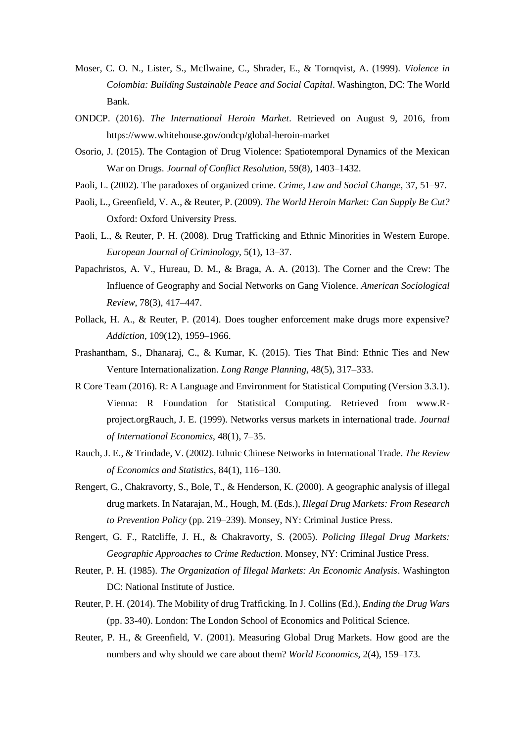- Moser, C. O. N., Lister, S., McIlwaine, C., Shrader, E., & Tornqvist, A. (1999). *Violence in Colombia: Building Sustainable Peace and Social Capital*. Washington, DC: The World Bank.
- ONDCP. (2016). *The International Heroin Market*. Retrieved on August 9, 2016, from https://www.whitehouse.gov/ondcp/global-heroin-market
- Osorio, J. (2015). The Contagion of Drug Violence: Spatiotemporal Dynamics of the Mexican War on Drugs. *Journal of Conflict Resolution*, 59(8), 1403–1432.
- Paoli, L. (2002). The paradoxes of organized crime. *Crime, Law and Social Change*, 37, 51–97.
- Paoli, L., Greenfield, V. A., & Reuter, P. (2009). *The World Heroin Market: Can Supply Be Cut?* Oxford: Oxford University Press.
- Paoli, L., & Reuter, P. H. (2008). Drug Trafficking and Ethnic Minorities in Western Europe. *European Journal of Criminology*, 5(1), 13–37.
- Papachristos, A. V., Hureau, D. M., & Braga, A. A. (2013). The Corner and the Crew: The Influence of Geography and Social Networks on Gang Violence. *American Sociological Review*, 78(3), 417–447.
- Pollack, H. A., & Reuter, P. (2014). Does tougher enforcement make drugs more expensive? *Addiction*, 109(12), 1959–1966.
- Prashantham, S., Dhanaraj, C., & Kumar, K. (2015). Ties That Bind: Ethnic Ties and New Venture Internationalization. *Long Range Planning*, 48(5), 317–333.
- R Core Team (2016). R: A Language and Environment for Statistical Computing (Version 3.3.1). Vienna: R Foundation for Statistical Computing. Retrieved from www.Rproject.orgRauch, J. E. (1999). Networks versus markets in international trade. *Journal of International Economics*, 48(1), 7–35.
- Rauch, J. E., & Trindade, V. (2002). Ethnic Chinese Networks in International Trade. *The Review of Economics and Statistics*, 84(1), 116–130.
- Rengert, G., Chakravorty, S., Bole, T., & Henderson, K. (2000). A geographic analysis of illegal drug markets. In Natarajan, M., Hough, M. (Eds.), *Illegal Drug Markets: From Research to Prevention Policy* (pp. 219–239). Monsey, NY: Criminal Justice Press.
- Rengert, G. F., Ratcliffe, J. H., & Chakravorty, S. (2005). *Policing Illegal Drug Markets: Geographic Approaches to Crime Reduction*. Monsey, NY: Criminal Justice Press.
- Reuter, P. H. (1985). *The Organization of Illegal Markets: An Economic Analysis*. Washington DC: National Institute of Justice.
- Reuter, P. H. (2014). The Mobility of drug Trafficking. In J. Collins (Ed.), *Ending the Drug Wars*  (pp. 33-40). London: The London School of Economics and Political Science.
- Reuter, P. H., & Greenfield, V. (2001). Measuring Global Drug Markets. How good are the numbers and why should we care about them? *World Economics*, 2(4), 159–173.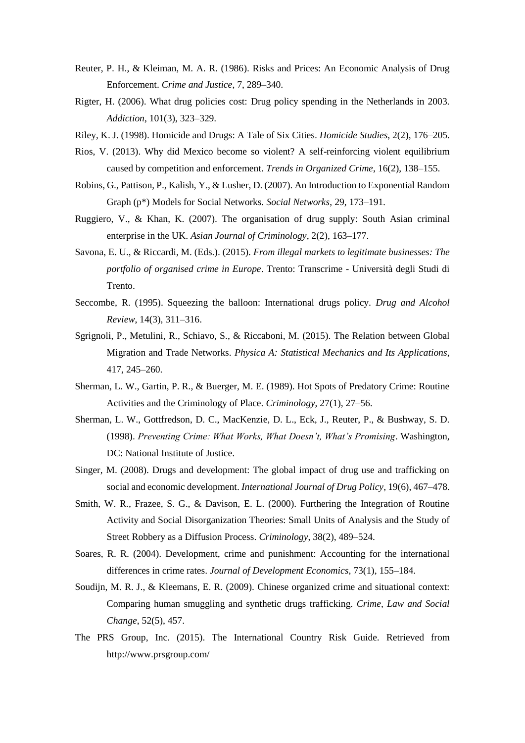- Reuter, P. H., & Kleiman, M. A. R. (1986). Risks and Prices: An Economic Analysis of Drug Enforcement. *Crime and Justice*, 7, 289–340.
- Rigter, H. (2006). What drug policies cost: Drug policy spending in the Netherlands in 2003. *Addiction*, 101(3), 323–329.
- Riley, K. J. (1998). Homicide and Drugs: A Tale of Six Cities. *Homicide Studies*, 2(2), 176–205.
- Rios, V. (2013). Why did Mexico become so violent? A self-reinforcing violent equilibrium caused by competition and enforcement. *Trends in Organized Crime*, 16(2), 138–155.
- Robins, G., Pattison, P., Kalish, Y., & Lusher, D. (2007). An Introduction to Exponential Random Graph (p\*) Models for Social Networks. *Social Networks*, 29, 173–191.
- Ruggiero, V., & Khan, K. (2007). The organisation of drug supply: South Asian criminal enterprise in the UK. *Asian Journal of Criminology*, 2(2), 163–177.
- Savona, E. U., & Riccardi, M. (Eds.). (2015). *From illegal markets to legitimate businesses: The portfolio of organised crime in Europe*. Trento: Transcrime - Università degli Studi di Trento.
- Seccombe, R. (1995). Squeezing the balloon: International drugs policy. *Drug and Alcohol Review*, 14(3), 311–316.
- Sgrignoli, P., Metulini, R., Schiavo, S., & Riccaboni, M. (2015). The Relation between Global Migration and Trade Networks. *Physica A: Statistical Mechanics and Its Applications*, 417, 245–260.
- Sherman, L. W., Gartin, P. R., & Buerger, M. E. (1989). Hot Spots of Predatory Crime: Routine Activities and the Criminology of Place. *Criminology*, 27(1), 27–56.
- Sherman, L. W., Gottfredson, D. C., MacKenzie, D. L., Eck, J., Reuter, P., & Bushway, S. D. (1998). *Preventing Crime: What Works, What Doesn't, What's Promising*. Washington, DC: National Institute of Justice.
- Singer, M. (2008). Drugs and development: The global impact of drug use and trafficking on social and economic development. *International Journal of Drug Policy*, 19(6), 467–478.
- Smith, W. R., Frazee, S. G., & Davison, E. L. (2000). Furthering the Integration of Routine Activity and Social Disorganization Theories: Small Units of Analysis and the Study of Street Robbery as a Diffusion Process. *Criminology*, 38(2), 489–524.
- Soares, R. R. (2004). Development, crime and punishment: Accounting for the international differences in crime rates. *Journal of Development Economics*, 73(1), 155–184.
- Soudijn, M. R. J., & Kleemans, E. R. (2009). Chinese organized crime and situational context: Comparing human smuggling and synthetic drugs trafficking. *Crime, Law and Social Change*, 52(5), 457.
- The PRS Group, Inc. (2015). The International Country Risk Guide. Retrieved from http://www.prsgroup.com/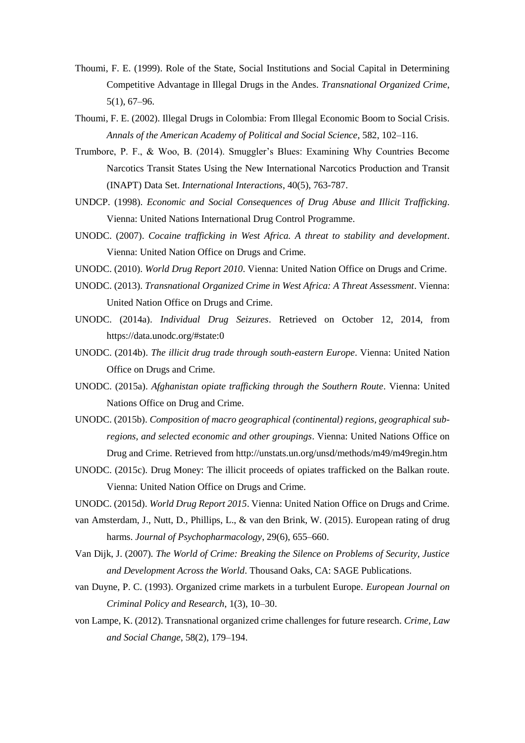- Thoumi, F. E. (1999). Role of the State, Social Institutions and Social Capital in Determining Competitive Advantage in Illegal Drugs in the Andes. *Transnational Organized Crime*, 5(1), 67–96.
- Thoumi, F. E. (2002). Illegal Drugs in Colombia: From Illegal Economic Boom to Social Crisis. *Annals of the American Academy of Political and Social Science*, 582, 102–116.
- Trumbore, P. F., & Woo, B. (2014). Smuggler's Blues: Examining Why Countries Become Narcotics Transit States Using the New International Narcotics Production and Transit (INAPT) Data Set. *International Interactions*, 40(5), 763-787.
- UNDCP. (1998). *Economic and Social Consequences of Drug Abuse and Illicit Trafficking*. Vienna: United Nations International Drug Control Programme.
- UNODC. (2007). *Cocaine trafficking in West Africa. A threat to stability and development*. Vienna: United Nation Office on Drugs and Crime.
- UNODC. (2010). *World Drug Report 2010*. Vienna: United Nation Office on Drugs and Crime.
- UNODC. (2013). *Transnational Organized Crime in West Africa: A Threat Assessment*. Vienna: United Nation Office on Drugs and Crime.
- UNODC. (2014a). *Individual Drug Seizures*. Retrieved on October 12, 2014, from https://data.unodc.org/#state:0
- UNODC. (2014b). *The illicit drug trade through south-eastern Europe*. Vienna: United Nation Office on Drugs and Crime.
- UNODC. (2015a). *Afghanistan opiate trafficking through the Southern Route*. Vienna: United Nations Office on Drug and Crime.
- UNODC. (2015b). *Composition of macro geographical (continental) regions, geographical subregions, and selected economic and other groupings*. Vienna: United Nations Office on Drug and Crime. Retrieved from http://unstats.un.org/unsd/methods/m49/m49regin.htm
- UNODC. (2015c). Drug Money: The illicit proceeds of opiates trafficked on the Balkan route. Vienna: United Nation Office on Drugs and Crime.
- UNODC. (2015d). *World Drug Report 2015*. Vienna: United Nation Office on Drugs and Crime.
- van Amsterdam, J., Nutt, D., Phillips, L., & van den Brink, W. (2015). European rating of drug harms. *Journal of Psychopharmacology*, 29(6), 655–660.
- Van Dijk, J. (2007). *The World of Crime: Breaking the Silence on Problems of Security, Justice and Development Across the World*. Thousand Oaks, CA: SAGE Publications.
- van Duyne, P. C. (1993). Organized crime markets in a turbulent Europe. *European Journal on Criminal Policy and Research*, 1(3), 10–30.
- von Lampe, K. (2012). Transnational organized crime challenges for future research. *Crime, Law and Social Change*, 58(2), 179–194.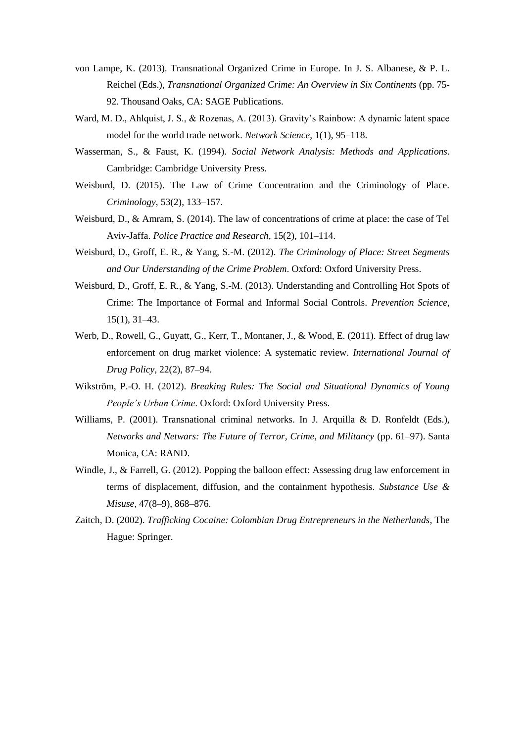- von Lampe, K. (2013). Transnational Organized Crime in Europe. In J. S. Albanese, & P. L. Reichel (Eds.), *Transnational Organized Crime: An Overview in Six Continents* (pp. 75- 92. Thousand Oaks, CA: SAGE Publications.
- Ward, M. D., Ahlquist, J. S., & Rozenas, A. (2013). Gravity's Rainbow: A dynamic latent space model for the world trade network. *Network Science*, 1(1), 95–118.
- Wasserman, S., & Faust, K. (1994). *Social Network Analysis: Methods and Applications*. Cambridge: Cambridge University Press.
- Weisburd, D. (2015). The Law of Crime Concentration and the Criminology of Place. *Criminology*, 53(2), 133–157.
- Weisburd, D., & Amram, S. (2014). The law of concentrations of crime at place: the case of Tel Aviv-Jaffa. *Police Practice and Research*, 15(2), 101–114.
- Weisburd, D., Groff, E. R., & Yang, S.-M. (2012). *The Criminology of Place: Street Segments and Our Understanding of the Crime Problem*. Oxford: Oxford University Press.
- Weisburd, D., Groff, E. R., & Yang, S.-M. (2013). Understanding and Controlling Hot Spots of Crime: The Importance of Formal and Informal Social Controls. *Prevention Science*, 15(1), 31–43.
- Werb, D., Rowell, G., Guyatt, G., Kerr, T., Montaner, J., & Wood, E. (2011). Effect of drug law enforcement on drug market violence: A systematic review. *International Journal of Drug Policy*, 22(2), 87–94.
- Wikström, P.-O. H. (2012). *Breaking Rules: The Social and Situational Dynamics of Young People's Urban Crime*. Oxford: Oxford University Press.
- Williams, P. (2001). Transnational criminal networks. In J. Arquilla & D. Ronfeldt (Eds.), *Networks and Netwars: The Future of Terror, Crime, and Militancy* (pp. 61–97). Santa Monica, CA: RAND.
- Windle, J., & Farrell, G. (2012). Popping the balloon effect: Assessing drug law enforcement in terms of displacement, diffusion, and the containment hypothesis. *Substance Use & Misuse*, 47(8–9), 868–876.
- Zaitch, D. (2002). *Trafficking Cocaine: Colombian Drug Entrepreneurs in the Netherlands*, The Hague: Springer.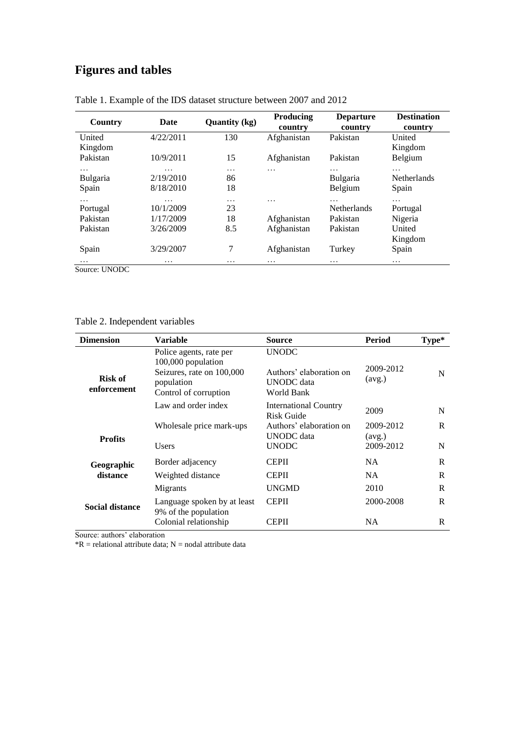# **Figures and tables**

| Country         | <b>Date</b> | <b>Quantity (kg)</b> | <b>Producing</b><br>country | <b>Departure</b><br>country | <b>Destination</b><br>country |
|-----------------|-------------|----------------------|-----------------------------|-----------------------------|-------------------------------|
| United          | 4/22/2011   | 130                  | Afghanistan                 | Pakistan                    | United                        |
| Kingdom         |             |                      |                             |                             | Kingdom                       |
| Pakistan        | 10/9/2011   | 15                   | Afghanistan                 | Pakistan                    | Belgium                       |
| .               | .           | .                    | .                           | .                           | .                             |
| <b>Bulgaria</b> | 2/19/2010   | 86                   |                             | <b>Bulgaria</b>             | <b>Netherlands</b>            |
| Spain           | 8/18/2010   | 18                   |                             | Belgium                     | Spain                         |
| .               | .           | .                    | $\cdot$                     | .                           | .                             |
| Portugal        | 10/1/2009   | 23                   |                             | <b>Netherlands</b>          | Portugal                      |
| Pakistan        | 1/17/2009   | 18                   | Afghanistan                 | Pakistan                    | Nigeria                       |
| Pakistan        | 3/26/2009   | 8.5                  | Afghanistan                 | Pakistan                    | United                        |
|                 |             |                      |                             |                             | Kingdom                       |
| Spain           | 3/29/2007   | 7                    | Afghanistan                 | Turkey                      | Spain                         |
| .               | .           | $\cdot\cdot\cdot$    | $\cdots$                    | .                           | .                             |
| Source: UNODC   |             |                      |                             |                             |                               |

| Table 1. Example of the IDS dataset structure between 2007 and 2012 |  |  |  |
|---------------------------------------------------------------------|--|--|--|
|---------------------------------------------------------------------|--|--|--|

Table 2. Independent variables

| <b>Dimension</b>              | Variable                                                                                                          | <b>Source</b>                                                       | Period              | Type* |
|-------------------------------|-------------------------------------------------------------------------------------------------------------------|---------------------------------------------------------------------|---------------------|-------|
| <b>Risk of</b><br>enforcement | Police agents, rate per<br>100,000 population<br>Seizures, rate on 100,000<br>population<br>Control of corruption | <b>UNODC</b><br>Authors' elaboration on<br>UNODC data<br>World Bank | 2009-2012<br>(avg.) | N     |
|                               | Law and order index                                                                                               | <b>International Country</b><br>Risk Guide                          | 2009                | N     |
| <b>Profits</b>                | Wholesale price mark-ups                                                                                          | Authors' elaboration on<br>UNODC data                               | 2009-2012<br>(avg.) | R     |
|                               | Users                                                                                                             | <b>UNODC</b>                                                        | 2009-2012           | N     |
| Geographic                    | Border adjacency                                                                                                  | <b>CEPII</b>                                                        | NA.                 | R     |
| distance                      | Weighted distance                                                                                                 | <b>CEPII</b>                                                        | <b>NA</b>           | R     |
| <b>Social distance</b>        | Migrants                                                                                                          | <b>UNGMD</b>                                                        | 2010                | R     |
|                               | Language spoken by at least<br>9% of the population                                                               | <b>CEPII</b>                                                        | 2000-2008           | R     |
|                               | Colonial relationship                                                                                             | <b>CEPII</b>                                                        | NA.                 | R     |

Source: authors' elaboration

 $*R$  = relational attribute data; N = nodal attribute data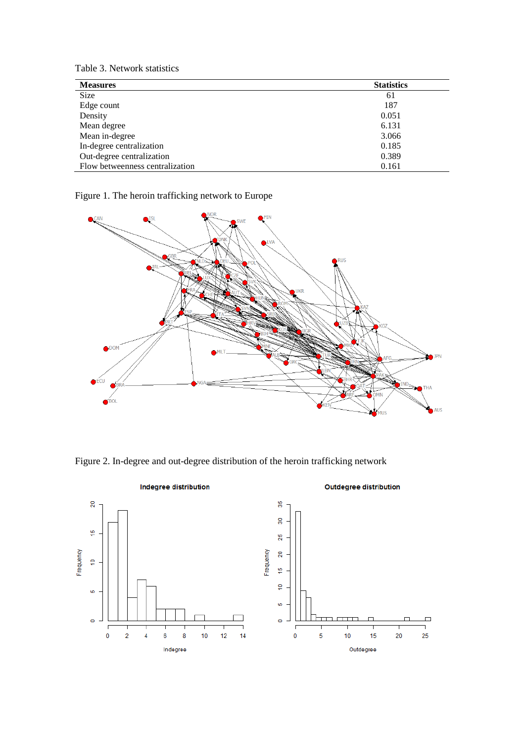Table 3. Network statistics

| <b>Measures</b>                 | <b>Statistics</b> |
|---------------------------------|-------------------|
| Size                            | 61                |
| Edge count                      | 187               |
| Density                         | 0.051             |
| Mean degree                     | 6.131             |
| Mean in-degree                  | 3.066             |
| In-degree centralization        | 0.185             |
| Out-degree centralization       | 0.389             |
| Flow betweenness centralization | 0.161             |

Figure 1. The heroin trafficking network to Europe



Figure 2. In-degree and out-degree distribution of the heroin trafficking network

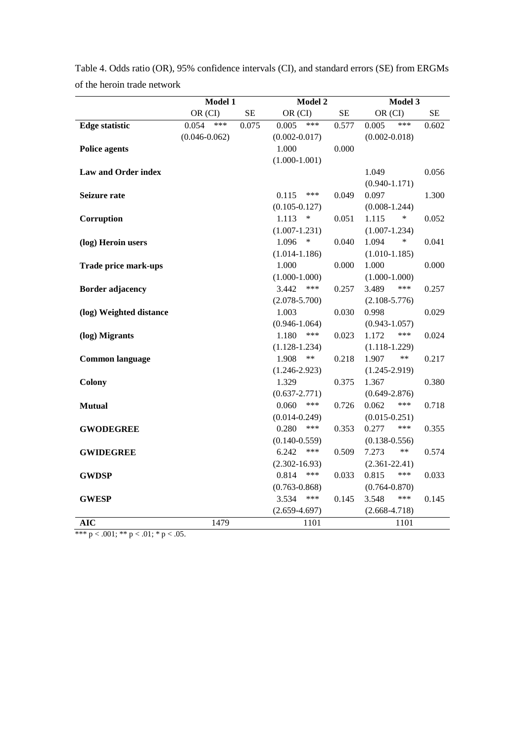|                             | <b>Model 1</b>    |           | <b>Model 2</b>                    |          | Model 3                           |          |
|-----------------------------|-------------------|-----------|-----------------------------------|----------|-----------------------------------|----------|
|                             | OR (CI)           | <b>SE</b> | OR (CI)                           | $\rm SE$ | OR (CI)                           | $\rm SE$ |
| <b>Edge statistic</b>       | ***<br>0.054      | 0.075     | ***<br>0.005                      | 0.577    | ***<br>0.005                      | 0.602    |
|                             | $(0.046 - 0.062)$ |           | $(0.002 - 0.017)$                 |          | $(0.002 - 0.018)$                 |          |
| <b>Police agents</b>        |                   |           | 1.000                             | 0.000    |                                   |          |
|                             |                   |           | $(1.000 - 1.001)$                 |          |                                   |          |
| <b>Law and Order index</b>  |                   |           |                                   |          | 1.049                             | 0.056    |
|                             |                   |           |                                   |          | $(0.940 - 1.171)$                 |          |
| Seizure rate                |                   |           | 0.115<br>***                      | 0.049    | 0.097                             | 1.300    |
|                             |                   |           | $(0.105 - 0.127)$                 |          | $(0.008 - 1.244)$                 |          |
| Corruption                  |                   |           | 1.113<br>$\ast$                   | 0.051    | $\ast$<br>1.115                   | 0.052    |
|                             |                   |           | $(1.007 - 1.231)$                 |          | $(1.007 - 1.234)$                 |          |
| (log) Heroin users          |                   |           | 1.096<br>$\ast$                   | 0.040    | 1.094<br>$\ast$                   | 0.041    |
|                             |                   |           | $(1.014 - 1.186)$                 |          | $(1.010-1.185)$                   |          |
| <b>Trade price mark-ups</b> |                   |           | 1.000                             | 0.000    | 1.000                             | 0.000    |
|                             |                   |           | $(1.000-1.000)$                   |          | $(1.000-1.000)$                   |          |
| <b>Border adjacency</b>     |                   |           | 3.442<br>***                      | 0.257    | ***<br>3.489                      | 0.257    |
|                             |                   |           | $(2.078 - 5.700)$                 |          | $(2.108 - 5.776)$                 |          |
| (log) Weighted distance     |                   |           | 1.003                             | 0.030    | 0.998                             | 0.029    |
|                             |                   |           | $(0.946 - 1.064)$                 |          | $(0.943 - 1.057)$                 |          |
| (log) Migrants              |                   |           | 1.180<br>***                      | 0.023    | 1.172<br>***                      | 0.024    |
|                             |                   |           | $(1.128 - 1.234)$                 |          | $(1.118 - 1.229)$                 |          |
| <b>Common language</b>      |                   |           | 1.908<br>**                       | 0.218    | 1.907<br>$***$                    | 0.217    |
|                             |                   |           | $(1.246 - 2.923)$                 |          | $(1.245 - 2.919)$                 |          |
| <b>Colony</b>               |                   |           | 1.329                             | 0.375    | 1.367                             | 0.380    |
|                             |                   |           | $(0.637 - 2.771)$<br>***          |          | $(0.649 - 2.876)$<br>***          |          |
| <b>Mutual</b>               |                   |           | 0.060                             | 0.726    | 0.062                             | 0.718    |
|                             |                   |           | $(0.014 - 0.249)$<br>0.280<br>*** | 0.353    | $(0.015 - 0.251)$<br>0.277<br>*** | 0.355    |
| <b>GWODEGREE</b>            |                   |           | $(0.140 - 0.559)$                 |          | $(0.138 - 0.556)$                 |          |
| <b>GWIDEGREE</b>            |                   |           | 6.242<br>***                      | 0.509    | 7.273<br>$***$                    | 0.574    |
|                             |                   |           | $(2.302 - 16.93)$                 |          | $(2.361 - 22.41)$                 |          |
| <b>GWDSP</b>                |                   |           | ***<br>0.814                      | 0.033    | 0.815<br>***                      | 0.033    |
|                             |                   |           | $(0.763 - 0.868)$                 |          | $(0.764 - 0.870)$                 |          |
| <b>GWESP</b>                |                   |           | 3.534<br>***                      | 0.145    | 3.548<br>***                      | 0.145    |
|                             |                   |           | $(2.659 - 4.697)$                 |          | $(2.668 - 4.718)$                 |          |
| <b>AIC</b>                  | 1479              |           | 1101                              |          | 1101                              |          |
|                             |                   |           |                                   |          |                                   |          |

Table 4. Odds ratio (OR), 95% confidence intervals (CI), and standard errors (SE) from ERGMs of the heroin trade network

\*\*\* p < .001; \*\* p < .01; \* p < .05.